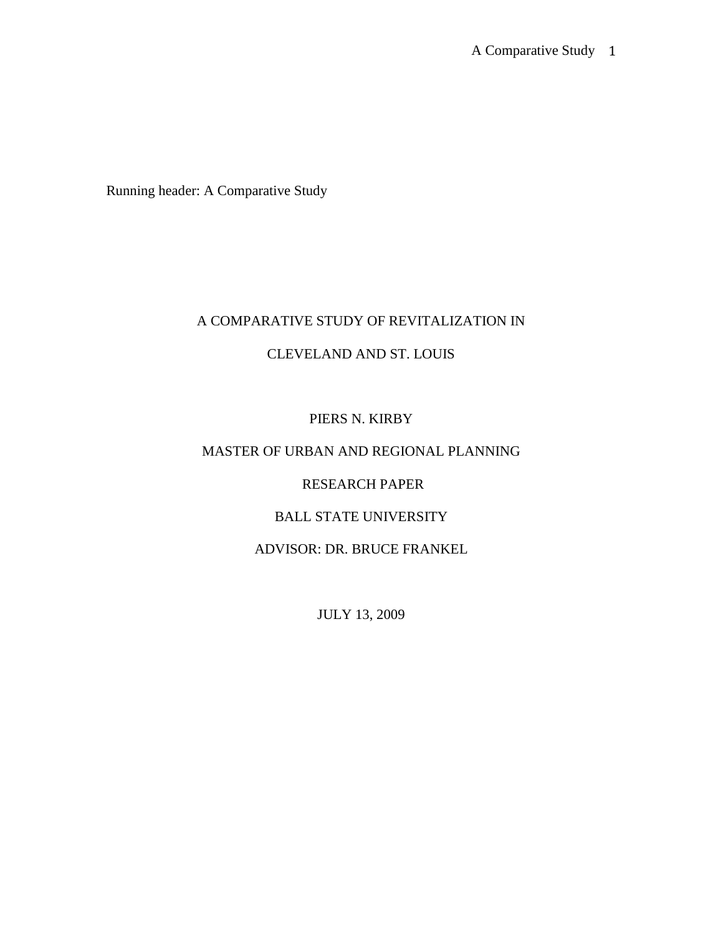Running header: A Comparative Study

# A COMPARATIVE STUDY OF REVITALIZATION IN

## CLEVELAND AND ST. LOUIS

# PIERS N. KIRBY

# MASTER OF URBAN AND REGIONAL PLANNING

## RESEARCH PAPER

# BALL STATE UNIVERSITY

## ADVISOR: DR. BRUCE FRANKEL

JULY 13, 2009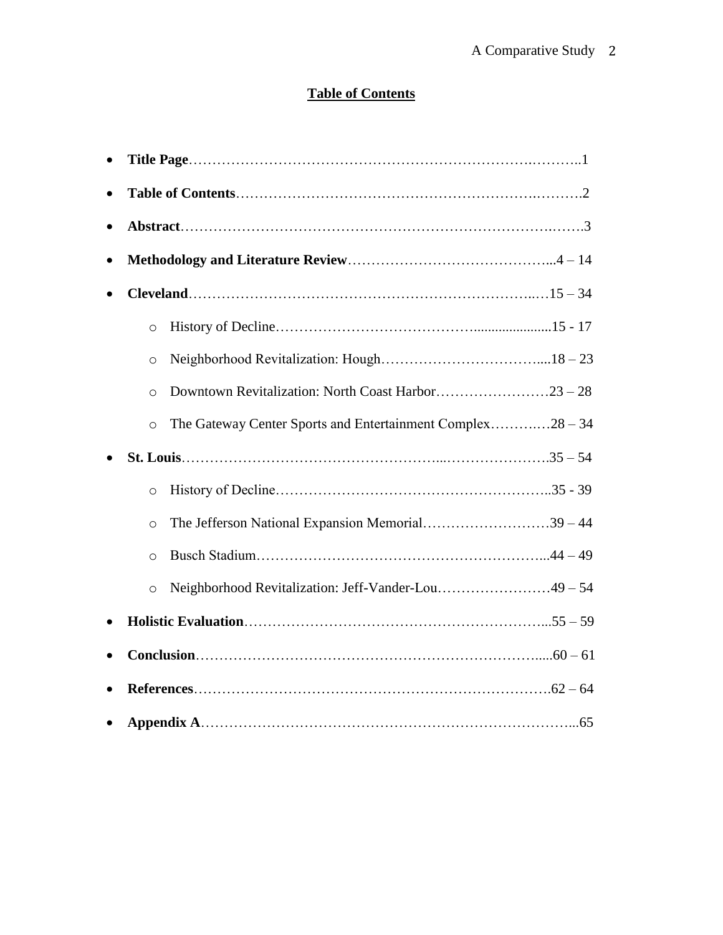# **Table of Contents**

| $\circ$                                                               |  |
|-----------------------------------------------------------------------|--|
| $\circ$                                                               |  |
| $\circ$                                                               |  |
| The Gateway Center Sports and Entertainment Complex28 – 34<br>$\circ$ |  |
|                                                                       |  |
| $\circ$                                                               |  |
| The Jefferson National Expansion Memorial39 – 44<br>$\circ$           |  |
| $\circ$                                                               |  |
| Neighborhood Revitalization: Jeff-Vander-Lou49 – 54<br>$\circ$        |  |
|                                                                       |  |
|                                                                       |  |
|                                                                       |  |
|                                                                       |  |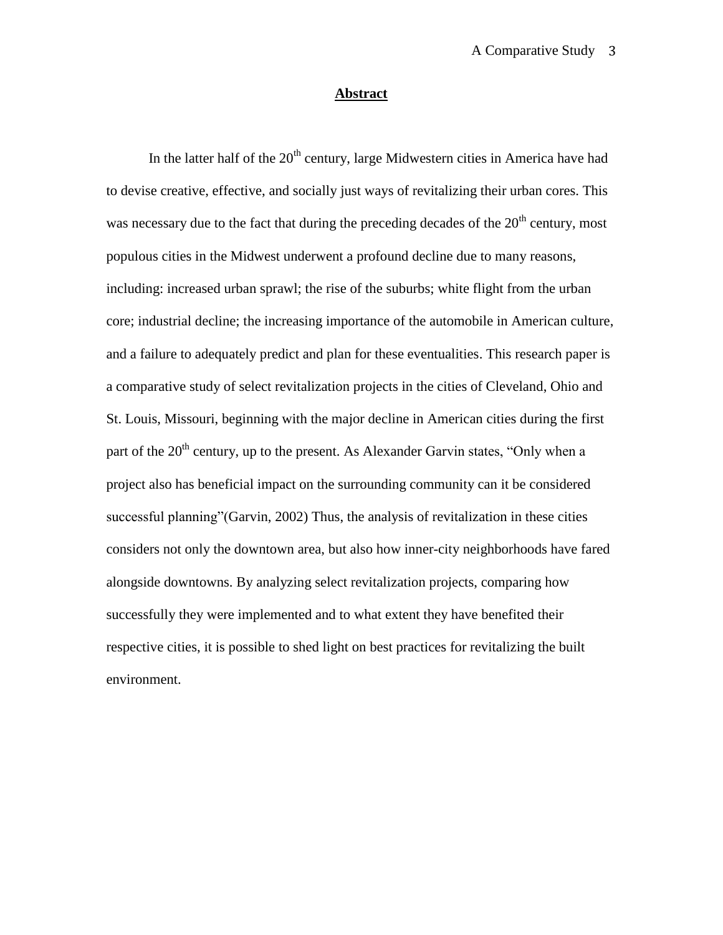## **Abstract**

In the latter half of the  $20<sup>th</sup>$  century, large Midwestern cities in America have had to devise creative, effective, and socially just ways of revitalizing their urban cores. This was necessary due to the fact that during the preceding decades of the  $20<sup>th</sup>$  century, most populous cities in the Midwest underwent a profound decline due to many reasons, including: increased urban sprawl; the rise of the suburbs; white flight from the urban core; industrial decline; the increasing importance of the automobile in American culture, and a failure to adequately predict and plan for these eventualities. This research paper is a comparative study of select revitalization projects in the cities of Cleveland, Ohio and St. Louis, Missouri, beginning with the major decline in American cities during the first part of the  $20<sup>th</sup>$  century, up to the present. As Alexander Garvin states, "Only when a project also has beneficial impact on the surrounding community can it be considered successful planning"(Garvin, 2002) Thus, the analysis of revitalization in these cities considers not only the downtown area, but also how inner-city neighborhoods have fared alongside downtowns. By analyzing select revitalization projects, comparing how successfully they were implemented and to what extent they have benefited their respective cities, it is possible to shed light on best practices for revitalizing the built environment.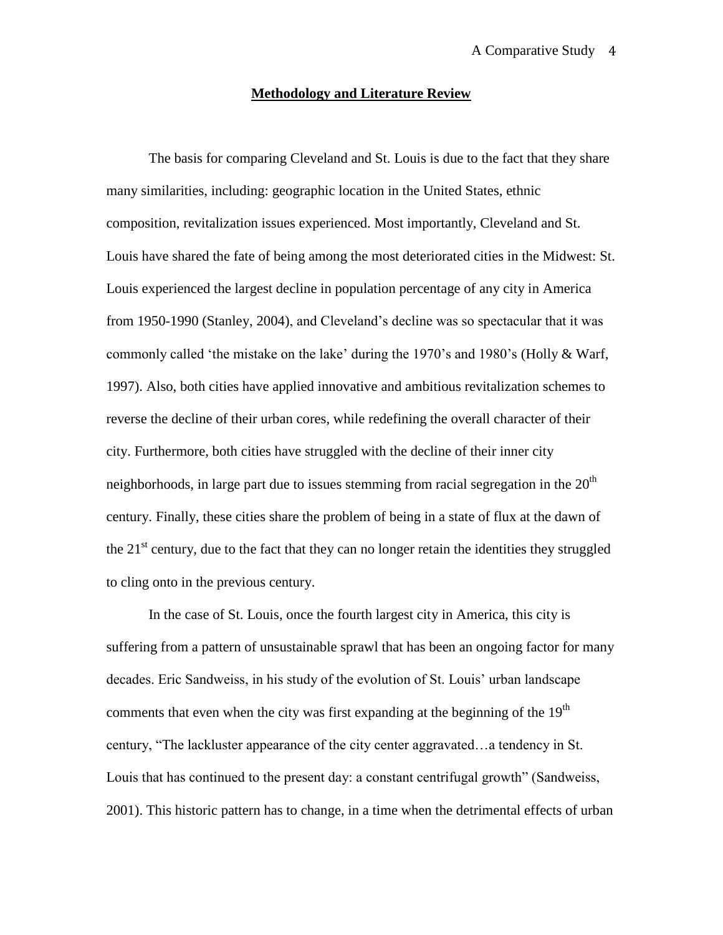#### **Methodology and Literature Review**

The basis for comparing Cleveland and St. Louis is due to the fact that they share many similarities, including: geographic location in the United States, ethnic composition, revitalization issues experienced. Most importantly, Cleveland and St. Louis have shared the fate of being among the most deteriorated cities in the Midwest: St. Louis experienced the largest decline in population percentage of any city in America from 1950-1990 (Stanley, 2004), and Cleveland"s decline was so spectacular that it was commonly called "the mistake on the lake" during the 1970"s and 1980"s (Holly & Warf, 1997). Also, both cities have applied innovative and ambitious revitalization schemes to reverse the decline of their urban cores, while redefining the overall character of their city. Furthermore, both cities have struggled with the decline of their inner city neighborhoods, in large part due to issues stemming from racial segregation in the  $20<sup>th</sup>$ century. Finally, these cities share the problem of being in a state of flux at the dawn of the  $21<sup>st</sup>$  century, due to the fact that they can no longer retain the identities they struggled to cling onto in the previous century.

In the case of St. Louis, once the fourth largest city in America, this city is suffering from a pattern of unsustainable sprawl that has been an ongoing factor for many decades. Eric Sandweiss, in his study of the evolution of St. Louis" urban landscape comments that even when the city was first expanding at the beginning of the  $19<sup>th</sup>$ century, "The lackluster appearance of the city center aggravated…a tendency in St. Louis that has continued to the present day: a constant centrifugal growth" (Sandweiss, 2001). This historic pattern has to change, in a time when the detrimental effects of urban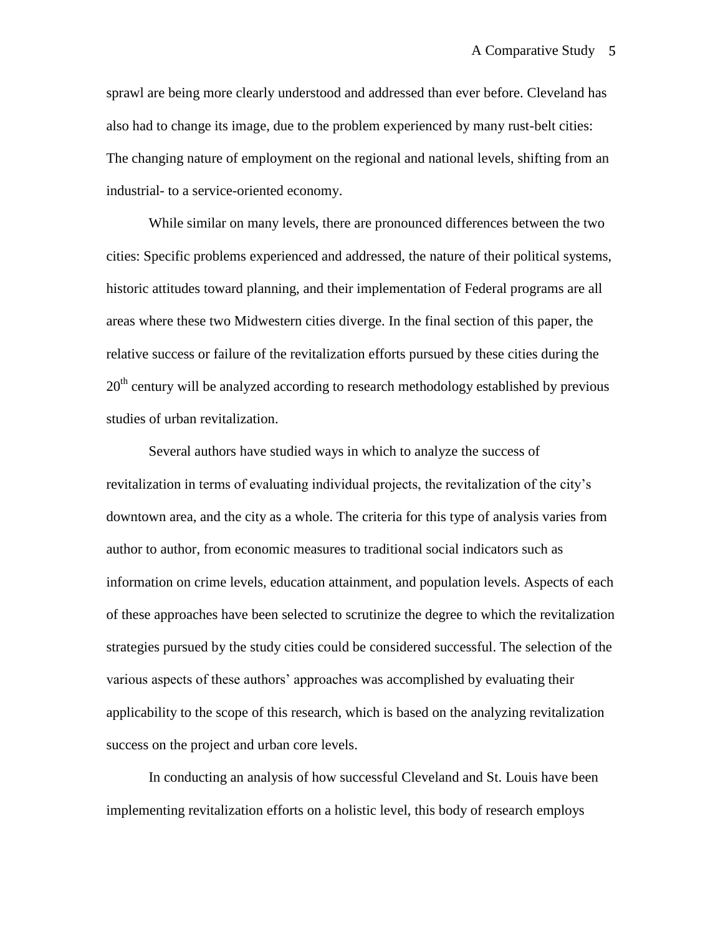sprawl are being more clearly understood and addressed than ever before. Cleveland has also had to change its image, due to the problem experienced by many rust-belt cities: The changing nature of employment on the regional and national levels, shifting from an industrial- to a service-oriented economy.

While similar on many levels, there are pronounced differences between the two cities: Specific problems experienced and addressed, the nature of their political systems, historic attitudes toward planning, and their implementation of Federal programs are all areas where these two Midwestern cities diverge. In the final section of this paper, the relative success or failure of the revitalization efforts pursued by these cities during the  $20<sup>th</sup>$  century will be analyzed according to research methodology established by previous studies of urban revitalization.

Several authors have studied ways in which to analyze the success of revitalization in terms of evaluating individual projects, the revitalization of the city"s downtown area, and the city as a whole. The criteria for this type of analysis varies from author to author, from economic measures to traditional social indicators such as information on crime levels, education attainment, and population levels. Aspects of each of these approaches have been selected to scrutinize the degree to which the revitalization strategies pursued by the study cities could be considered successful. The selection of the various aspects of these authors" approaches was accomplished by evaluating their applicability to the scope of this research, which is based on the analyzing revitalization success on the project and urban core levels.

In conducting an analysis of how successful Cleveland and St. Louis have been implementing revitalization efforts on a holistic level, this body of research employs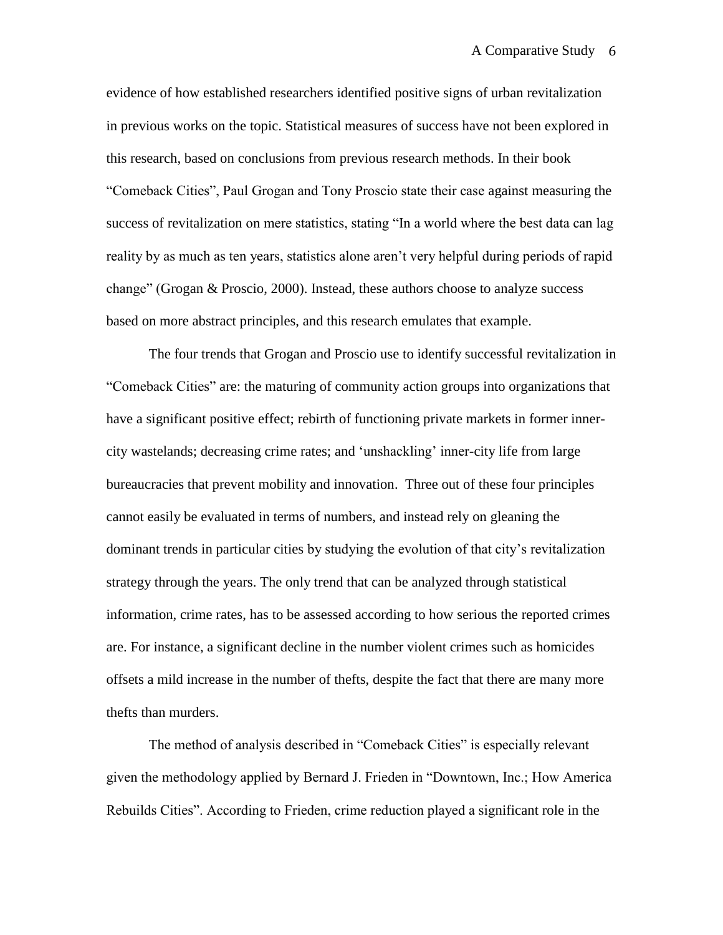evidence of how established researchers identified positive signs of urban revitalization in previous works on the topic. Statistical measures of success have not been explored in this research, based on conclusions from previous research methods. In their book "Comeback Cities", Paul Grogan and Tony Proscio state their case against measuring the success of revitalization on mere statistics, stating "In a world where the best data can lag reality by as much as ten years, statistics alone aren"t very helpful during periods of rapid change" (Grogan & Proscio, 2000). Instead, these authors choose to analyze success based on more abstract principles, and this research emulates that example.

The four trends that Grogan and Proscio use to identify successful revitalization in "Comeback Cities" are: the maturing of community action groups into organizations that have a significant positive effect; rebirth of functioning private markets in former innercity wastelands; decreasing crime rates; and "unshackling" inner-city life from large bureaucracies that prevent mobility and innovation. Three out of these four principles cannot easily be evaluated in terms of numbers, and instead rely on gleaning the dominant trends in particular cities by studying the evolution of that city"s revitalization strategy through the years. The only trend that can be analyzed through statistical information, crime rates, has to be assessed according to how serious the reported crimes are. For instance, a significant decline in the number violent crimes such as homicides offsets a mild increase in the number of thefts, despite the fact that there are many more thefts than murders.

The method of analysis described in "Comeback Cities" is especially relevant given the methodology applied by Bernard J. Frieden in "Downtown, Inc.; How America Rebuilds Cities". According to Frieden, crime reduction played a significant role in the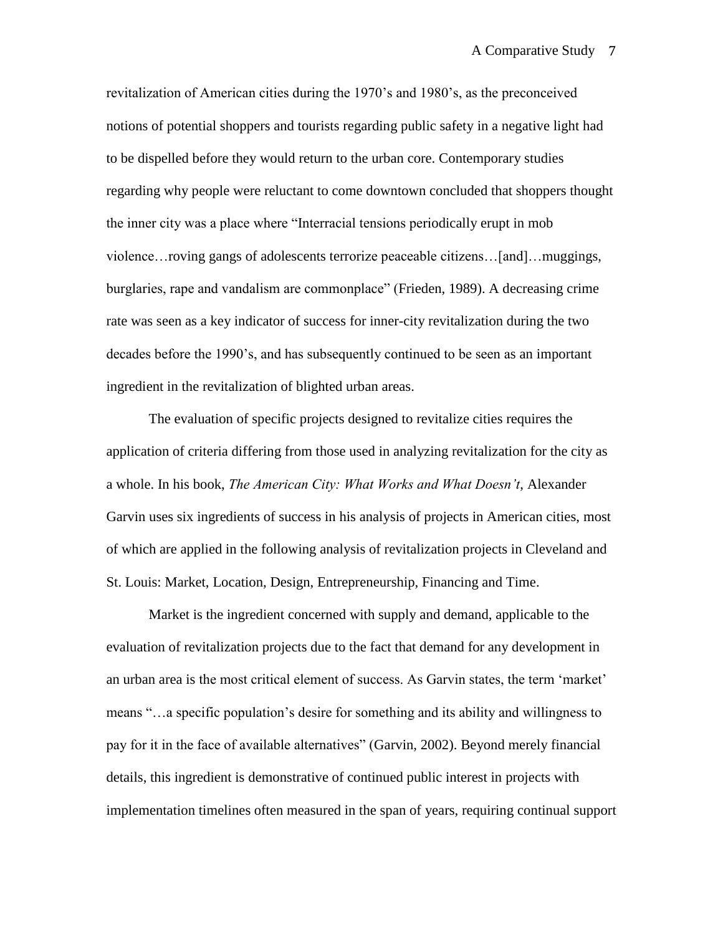revitalization of American cities during the 1970"s and 1980"s, as the preconceived notions of potential shoppers and tourists regarding public safety in a negative light had to be dispelled before they would return to the urban core. Contemporary studies regarding why people were reluctant to come downtown concluded that shoppers thought the inner city was a place where "Interracial tensions periodically erupt in mob violence…roving gangs of adolescents terrorize peaceable citizens…[and]…muggings, burglaries, rape and vandalism are commonplace" (Frieden, 1989). A decreasing crime rate was seen as a key indicator of success for inner-city revitalization during the two decades before the 1990"s, and has subsequently continued to be seen as an important ingredient in the revitalization of blighted urban areas.

The evaluation of specific projects designed to revitalize cities requires the application of criteria differing from those used in analyzing revitalization for the city as a whole. In his book, *The American City: What Works and What Doesn't*, Alexander Garvin uses six ingredients of success in his analysis of projects in American cities, most of which are applied in the following analysis of revitalization projects in Cleveland and St. Louis: Market, Location, Design, Entrepreneurship, Financing and Time.

Market is the ingredient concerned with supply and demand, applicable to the evaluation of revitalization projects due to the fact that demand for any development in an urban area is the most critical element of success. As Garvin states, the term "market" means "…a specific population"s desire for something and its ability and willingness to pay for it in the face of available alternatives" (Garvin, 2002). Beyond merely financial details, this ingredient is demonstrative of continued public interest in projects with implementation timelines often measured in the span of years, requiring continual support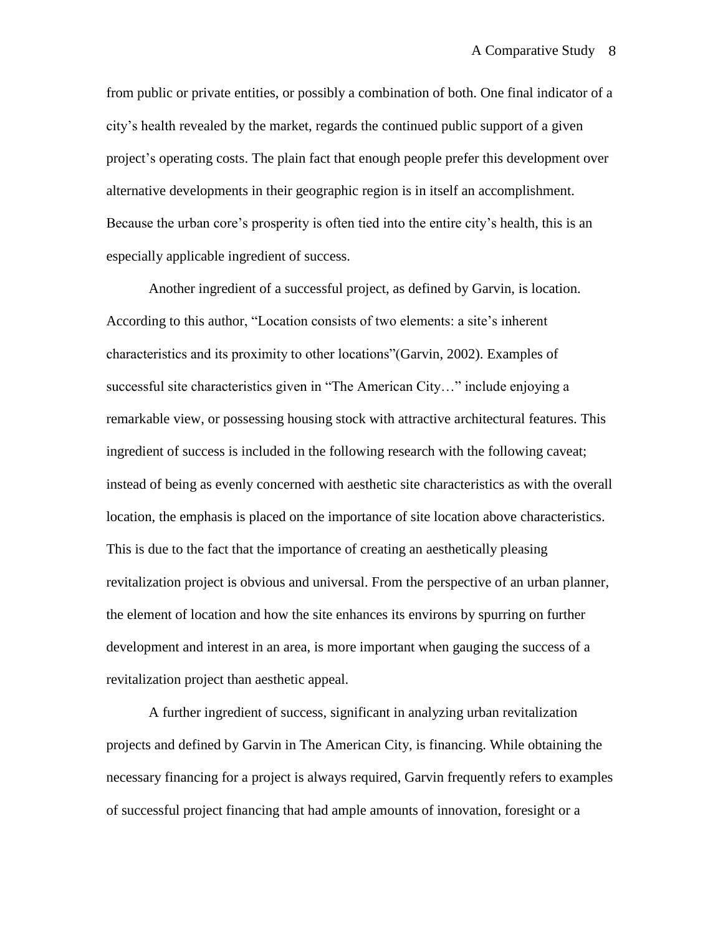from public or private entities, or possibly a combination of both. One final indicator of a city"s health revealed by the market, regards the continued public support of a given project"s operating costs. The plain fact that enough people prefer this development over alternative developments in their geographic region is in itself an accomplishment. Because the urban core's prosperity is often tied into the entire city's health, this is an especially applicable ingredient of success.

Another ingredient of a successful project, as defined by Garvin, is location. According to this author, "Location consists of two elements: a site"s inherent characteristics and its proximity to other locations"(Garvin, 2002). Examples of successful site characteristics given in "The American City…" include enjoying a remarkable view, or possessing housing stock with attractive architectural features. This ingredient of success is included in the following research with the following caveat; instead of being as evenly concerned with aesthetic site characteristics as with the overall location, the emphasis is placed on the importance of site location above characteristics. This is due to the fact that the importance of creating an aesthetically pleasing revitalization project is obvious and universal. From the perspective of an urban planner, the element of location and how the site enhances its environs by spurring on further development and interest in an area, is more important when gauging the success of a revitalization project than aesthetic appeal.

A further ingredient of success, significant in analyzing urban revitalization projects and defined by Garvin in The American City, is financing. While obtaining the necessary financing for a project is always required, Garvin frequently refers to examples of successful project financing that had ample amounts of innovation, foresight or a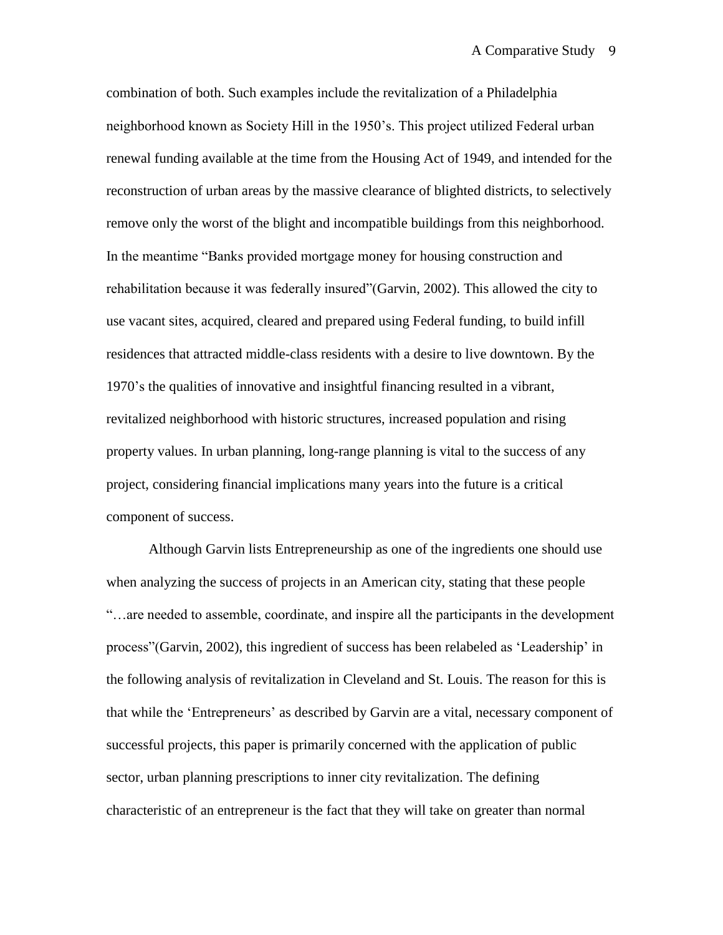combination of both. Such examples include the revitalization of a Philadelphia neighborhood known as Society Hill in the 1950"s. This project utilized Federal urban renewal funding available at the time from the Housing Act of 1949, and intended for the reconstruction of urban areas by the massive clearance of blighted districts, to selectively remove only the worst of the blight and incompatible buildings from this neighborhood. In the meantime "Banks provided mortgage money for housing construction and rehabilitation because it was federally insured"(Garvin, 2002). This allowed the city to use vacant sites, acquired, cleared and prepared using Federal funding, to build infill residences that attracted middle-class residents with a desire to live downtown. By the 1970"s the qualities of innovative and insightful financing resulted in a vibrant, revitalized neighborhood with historic structures, increased population and rising property values. In urban planning, long-range planning is vital to the success of any project, considering financial implications many years into the future is a critical component of success.

Although Garvin lists Entrepreneurship as one of the ingredients one should use when analyzing the success of projects in an American city, stating that these people "…are needed to assemble, coordinate, and inspire all the participants in the development process"(Garvin, 2002), this ingredient of success has been relabeled as "Leadership" in the following analysis of revitalization in Cleveland and St. Louis. The reason for this is that while the "Entrepreneurs" as described by Garvin are a vital, necessary component of successful projects, this paper is primarily concerned with the application of public sector, urban planning prescriptions to inner city revitalization. The defining characteristic of an entrepreneur is the fact that they will take on greater than normal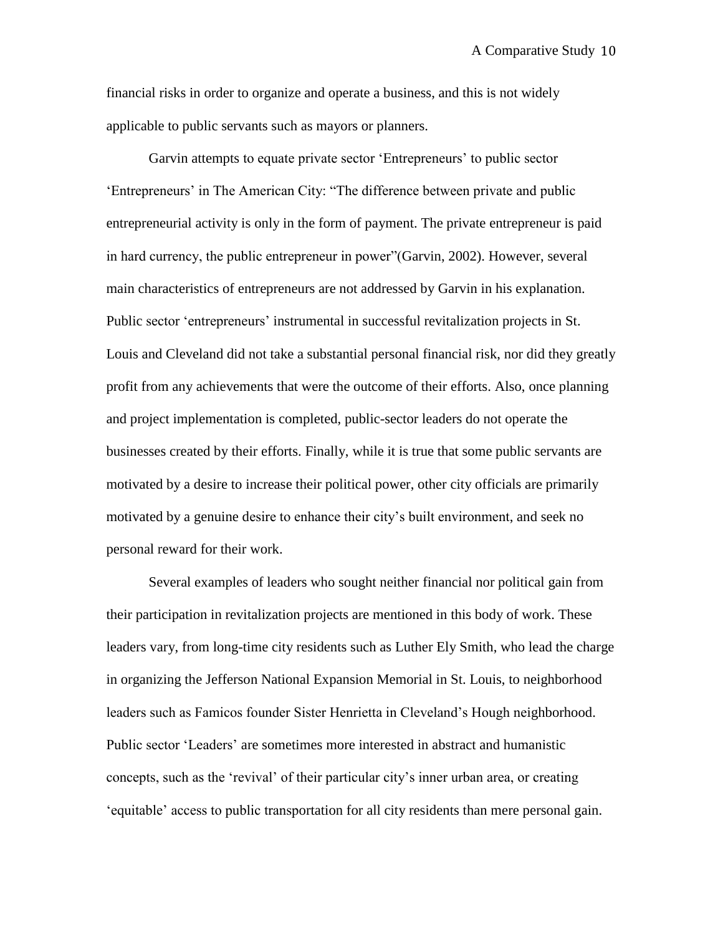financial risks in order to organize and operate a business, and this is not widely applicable to public servants such as mayors or planners.

Garvin attempts to equate private sector 'Entrepreneurs' to public sector "Entrepreneurs" in The American City: "The difference between private and public entrepreneurial activity is only in the form of payment. The private entrepreneur is paid in hard currency, the public entrepreneur in power"(Garvin, 2002). However, several main characteristics of entrepreneurs are not addressed by Garvin in his explanation. Public sector "entrepreneurs" instrumental in successful revitalization projects in St. Louis and Cleveland did not take a substantial personal financial risk, nor did they greatly profit from any achievements that were the outcome of their efforts. Also, once planning and project implementation is completed, public-sector leaders do not operate the businesses created by their efforts. Finally, while it is true that some public servants are motivated by a desire to increase their political power, other city officials are primarily motivated by a genuine desire to enhance their city"s built environment, and seek no personal reward for their work.

Several examples of leaders who sought neither financial nor political gain from their participation in revitalization projects are mentioned in this body of work. These leaders vary, from long-time city residents such as Luther Ely Smith, who lead the charge in organizing the Jefferson National Expansion Memorial in St. Louis, to neighborhood leaders such as Famicos founder Sister Henrietta in Cleveland"s Hough neighborhood. Public sector "Leaders" are sometimes more interested in abstract and humanistic concepts, such as the "revival" of their particular city"s inner urban area, or creating "equitable" access to public transportation for all city residents than mere personal gain.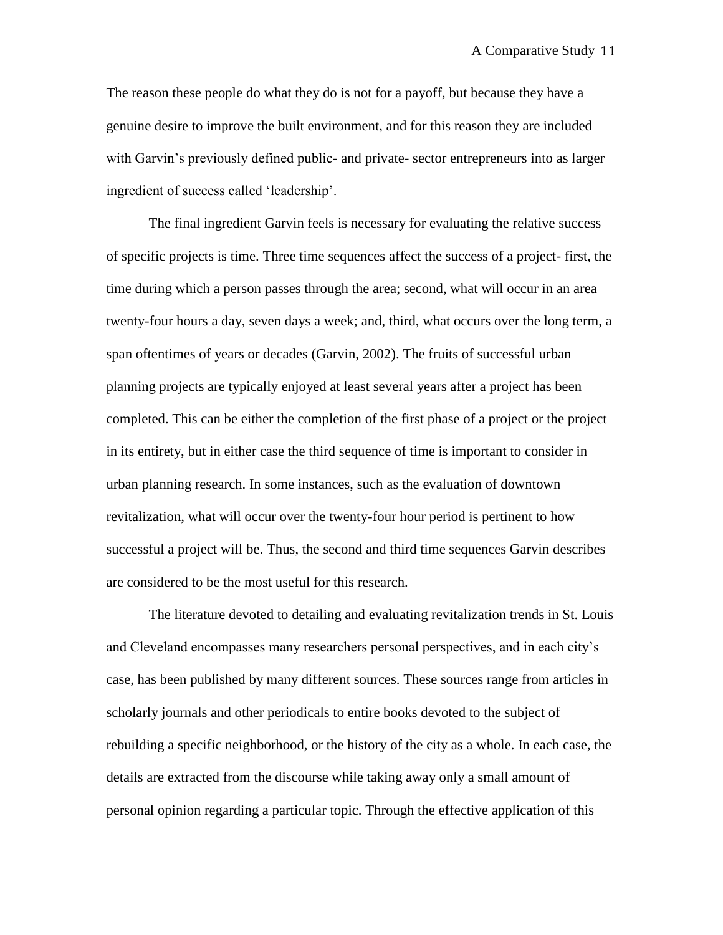The reason these people do what they do is not for a payoff, but because they have a genuine desire to improve the built environment, and for this reason they are included with Garvin"s previously defined public- and private- sector entrepreneurs into as larger ingredient of success called "leadership".

The final ingredient Garvin feels is necessary for evaluating the relative success of specific projects is time. Three time sequences affect the success of a project- first, the time during which a person passes through the area; second, what will occur in an area twenty-four hours a day, seven days a week; and, third, what occurs over the long term, a span oftentimes of years or decades (Garvin, 2002). The fruits of successful urban planning projects are typically enjoyed at least several years after a project has been completed. This can be either the completion of the first phase of a project or the project in its entirety, but in either case the third sequence of time is important to consider in urban planning research. In some instances, such as the evaluation of downtown revitalization, what will occur over the twenty-four hour period is pertinent to how successful a project will be. Thus, the second and third time sequences Garvin describes are considered to be the most useful for this research.

The literature devoted to detailing and evaluating revitalization trends in St. Louis and Cleveland encompasses many researchers personal perspectives, and in each city"s case, has been published by many different sources. These sources range from articles in scholarly journals and other periodicals to entire books devoted to the subject of rebuilding a specific neighborhood, or the history of the city as a whole. In each case, the details are extracted from the discourse while taking away only a small amount of personal opinion regarding a particular topic. Through the effective application of this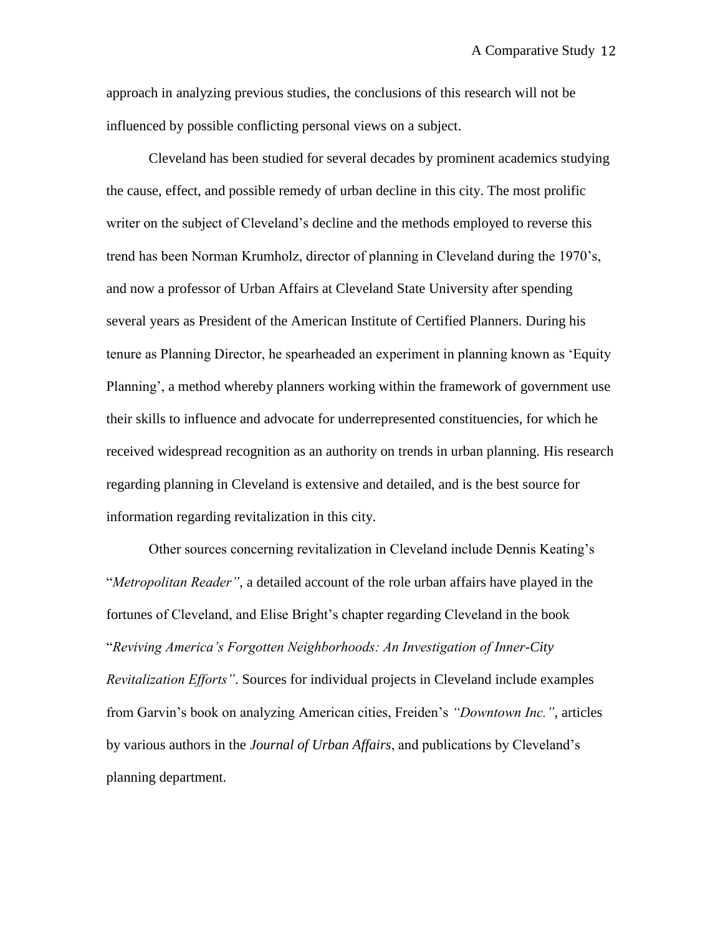approach in analyzing previous studies, the conclusions of this research will not be influenced by possible conflicting personal views on a subject.

Cleveland has been studied for several decades by prominent academics studying the cause, effect, and possible remedy of urban decline in this city. The most prolific writer on the subject of Cleveland's decline and the methods employed to reverse this trend has been Norman Krumholz, director of planning in Cleveland during the 1970"s, and now a professor of Urban Affairs at Cleveland State University after spending several years as President of the American Institute of Certified Planners. During his tenure as Planning Director, he spearheaded an experiment in planning known as "Equity Planning', a method whereby planners working within the framework of government use their skills to influence and advocate for underrepresented constituencies, for which he received widespread recognition as an authority on trends in urban planning. His research regarding planning in Cleveland is extensive and detailed, and is the best source for information regarding revitalization in this city.

Other sources concerning revitalization in Cleveland include Dennis Keating"s "*Metropolitan Reader"*, a detailed account of the role urban affairs have played in the fortunes of Cleveland, and Elise Bright"s chapter regarding Cleveland in the book "*Reviving America's Forgotten Neighborhoods: An Investigation of Inner-City Revitalization Efforts"*. Sources for individual projects in Cleveland include examples from Garvin"s book on analyzing American cities, Freiden"s *"Downtown Inc."*, articles by various authors in the *Journal of Urban Affairs*, and publications by Cleveland"s planning department.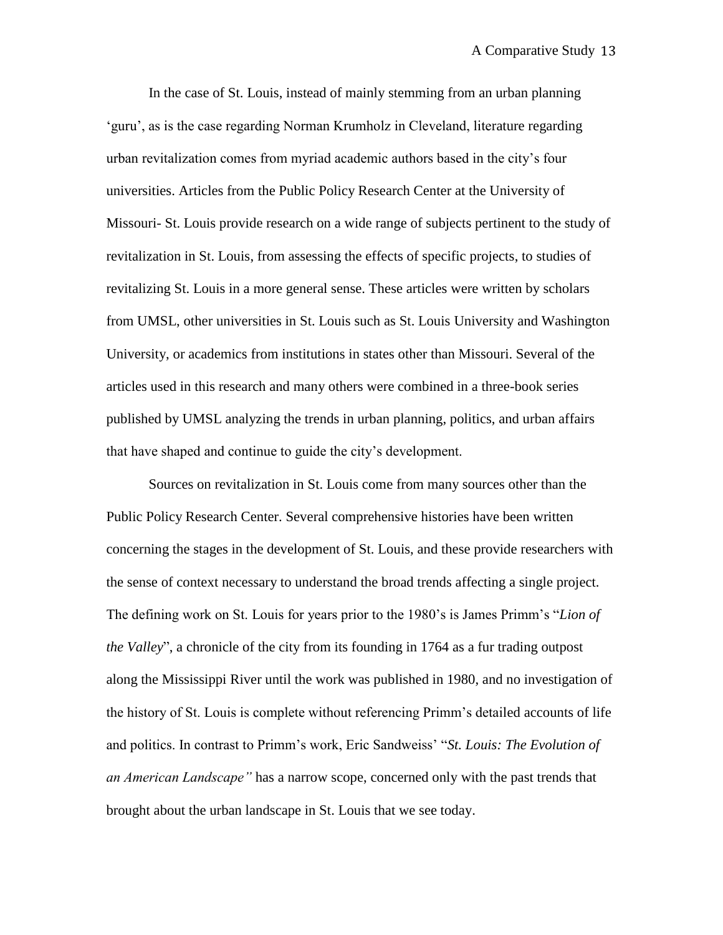In the case of St. Louis, instead of mainly stemming from an urban planning "guru", as is the case regarding Norman Krumholz in Cleveland, literature regarding urban revitalization comes from myriad academic authors based in the city"s four universities. Articles from the Public Policy Research Center at the University of Missouri- St. Louis provide research on a wide range of subjects pertinent to the study of revitalization in St. Louis, from assessing the effects of specific projects, to studies of revitalizing St. Louis in a more general sense. These articles were written by scholars from UMSL, other universities in St. Louis such as St. Louis University and Washington University, or academics from institutions in states other than Missouri. Several of the articles used in this research and many others were combined in a three-book series published by UMSL analyzing the trends in urban planning, politics, and urban affairs that have shaped and continue to guide the city"s development.

Sources on revitalization in St. Louis come from many sources other than the Public Policy Research Center. Several comprehensive histories have been written concerning the stages in the development of St. Louis, and these provide researchers with the sense of context necessary to understand the broad trends affecting a single project. The defining work on St. Louis for years prior to the 1980"s is James Primm"s "*Lion of the Valley*", a chronicle of the city from its founding in 1764 as a fur trading outpost along the Mississippi River until the work was published in 1980, and no investigation of the history of St. Louis is complete without referencing Primm"s detailed accounts of life and politics. In contrast to Primm"s work, Eric Sandweiss" "*St. Louis: The Evolution of an American Landscape"* has a narrow scope, concerned only with the past trends that brought about the urban landscape in St. Louis that we see today.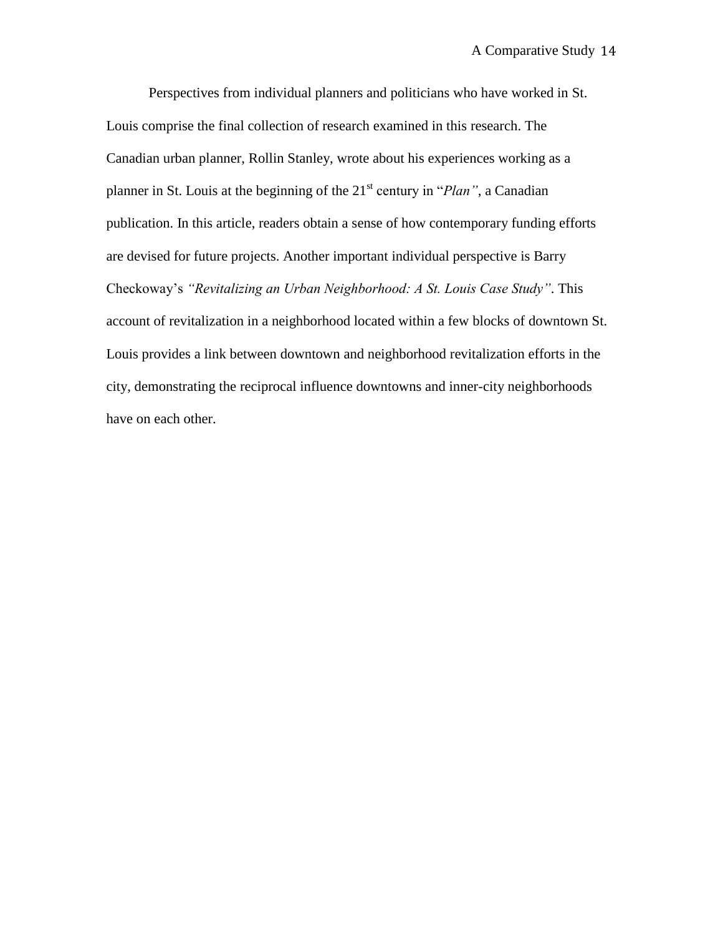Perspectives from individual planners and politicians who have worked in St. Louis comprise the final collection of research examined in this research. The Canadian urban planner, Rollin Stanley, wrote about his experiences working as a planner in St. Louis at the beginning of the 21st century in "*Plan"*, a Canadian publication. In this article, readers obtain a sense of how contemporary funding efforts are devised for future projects. Another important individual perspective is Barry Checkoway"s *"Revitalizing an Urban Neighborhood: A St. Louis Case Study"*. This account of revitalization in a neighborhood located within a few blocks of downtown St. Louis provides a link between downtown and neighborhood revitalization efforts in the city, demonstrating the reciprocal influence downtowns and inner-city neighborhoods have on each other.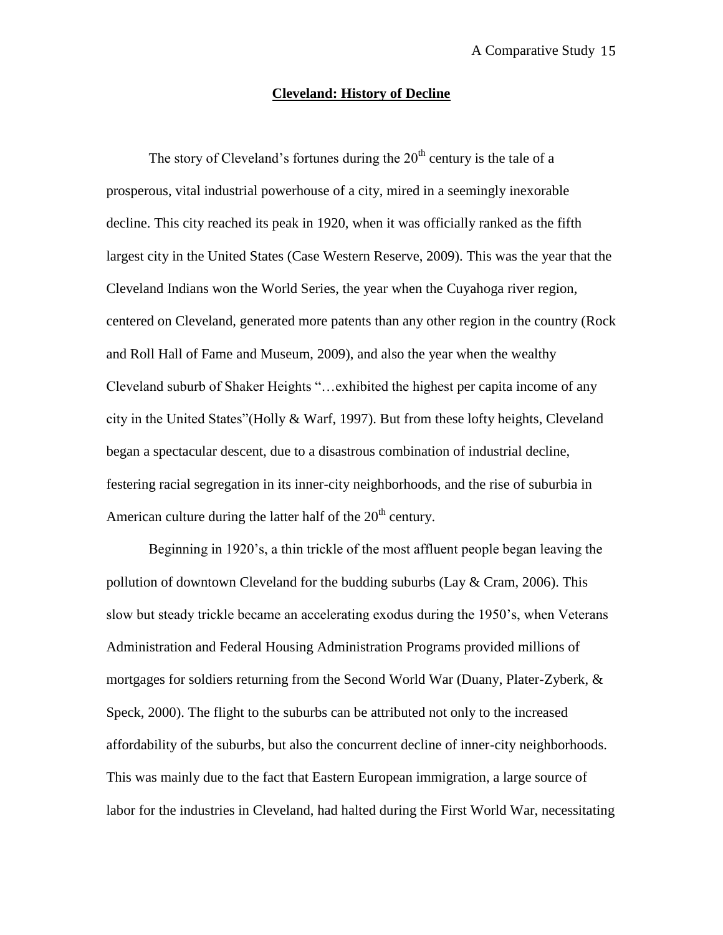#### **Cleveland: History of Decline**

The story of Cleveland's fortunes during the  $20<sup>th</sup>$  century is the tale of a prosperous, vital industrial powerhouse of a city, mired in a seemingly inexorable decline. This city reached its peak in 1920, when it was officially ranked as the fifth largest city in the United States (Case Western Reserve, 2009). This was the year that the Cleveland Indians won the World Series, the year when the Cuyahoga river region, centered on Cleveland, generated more patents than any other region in the country (Rock and Roll Hall of Fame and Museum, 2009), and also the year when the wealthy Cleveland suburb of Shaker Heights "…exhibited the highest per capita income of any city in the United States"(Holly & Warf, 1997). But from these lofty heights, Cleveland began a spectacular descent, due to a disastrous combination of industrial decline, festering racial segregation in its inner-city neighborhoods, and the rise of suburbia in American culture during the latter half of the  $20<sup>th</sup>$  century.

Beginning in 1920"s, a thin trickle of the most affluent people began leaving the pollution of downtown Cleveland for the budding suburbs (Lay & Cram, 2006). This slow but steady trickle became an accelerating exodus during the 1950"s, when Veterans Administration and Federal Housing Administration Programs provided millions of mortgages for soldiers returning from the Second World War (Duany, Plater-Zyberk, & Speck, 2000). The flight to the suburbs can be attributed not only to the increased affordability of the suburbs, but also the concurrent decline of inner-city neighborhoods. This was mainly due to the fact that Eastern European immigration, a large source of labor for the industries in Cleveland, had halted during the First World War, necessitating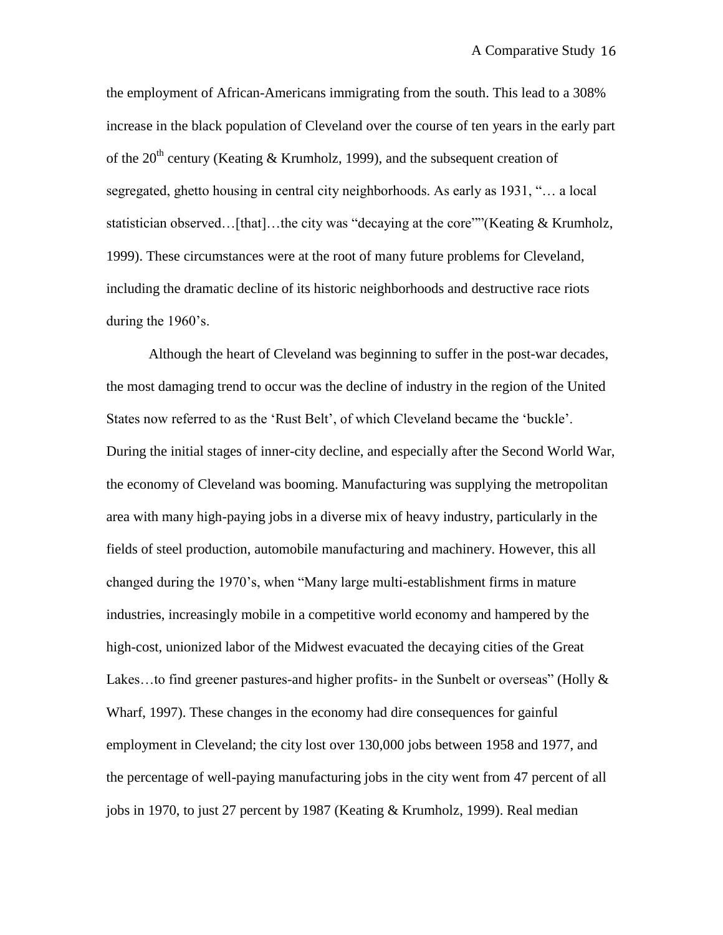the employment of African-Americans immigrating from the south. This lead to a 308% increase in the black population of Cleveland over the course of ten years in the early part of the 20<sup>th</sup> century (Keating & Krumholz, 1999), and the subsequent creation of segregated, ghetto housing in central city neighborhoods. As early as 1931, "… a local statistician observed…[that]…the city was "decaying at the core""(Keating & Krumholz, 1999). These circumstances were at the root of many future problems for Cleveland, including the dramatic decline of its historic neighborhoods and destructive race riots during the 1960's.

Although the heart of Cleveland was beginning to suffer in the post-war decades, the most damaging trend to occur was the decline of industry in the region of the United States now referred to as the "Rust Belt", of which Cleveland became the "buckle". During the initial stages of inner-city decline, and especially after the Second World War, the economy of Cleveland was booming. Manufacturing was supplying the metropolitan area with many high-paying jobs in a diverse mix of heavy industry, particularly in the fields of steel production, automobile manufacturing and machinery. However, this all changed during the 1970"s, when "Many large multi-establishment firms in mature industries, increasingly mobile in a competitive world economy and hampered by the high-cost, unionized labor of the Midwest evacuated the decaying cities of the Great Lakes...to find greener pastures-and higher profits- in the Sunbelt or overseas" (Holly  $\&$ Wharf, 1997). These changes in the economy had dire consequences for gainful employment in Cleveland; the city lost over 130,000 jobs between 1958 and 1977, and the percentage of well-paying manufacturing jobs in the city went from 47 percent of all jobs in 1970, to just 27 percent by 1987 (Keating & Krumholz, 1999). Real median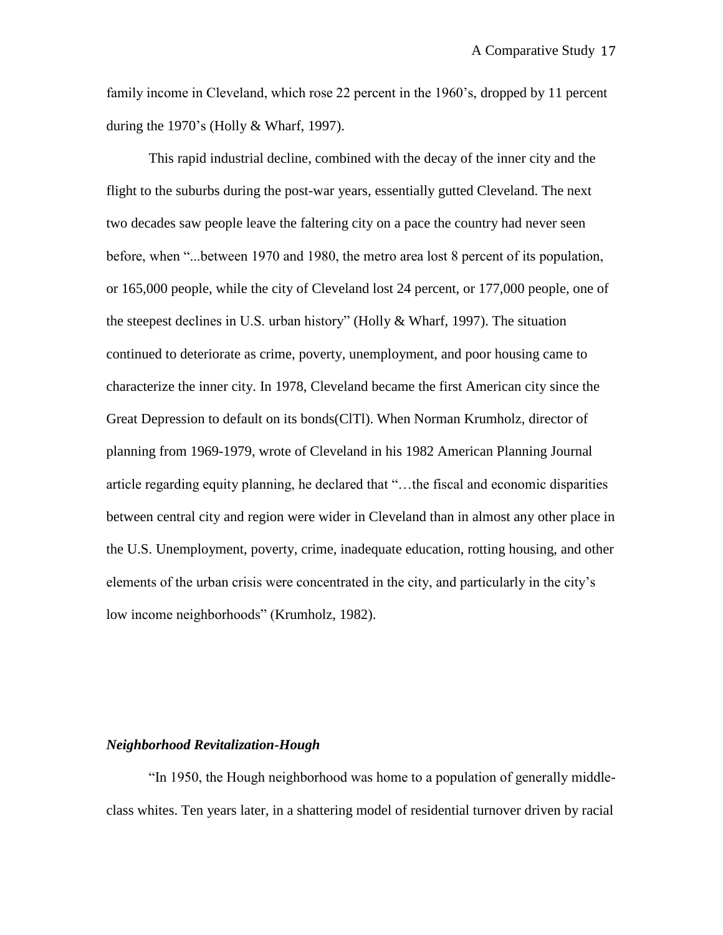family income in Cleveland, which rose 22 percent in the 1960"s, dropped by 11 percent during the 1970's (Holly  $&$  Wharf, 1997).

This rapid industrial decline, combined with the decay of the inner city and the flight to the suburbs during the post-war years, essentially gutted Cleveland. The next two decades saw people leave the faltering city on a pace the country had never seen before, when "...between 1970 and 1980, the metro area lost 8 percent of its population, or 165,000 people, while the city of Cleveland lost 24 percent, or 177,000 people, one of the steepest declines in U.S. urban history" (Holly & Wharf, 1997). The situation continued to deteriorate as crime, poverty, unemployment, and poor housing came to characterize the inner city. In 1978, Cleveland became the first American city since the Great Depression to default on its bonds(ClTl). When Norman Krumholz, director of planning from 1969-1979, wrote of Cleveland in his 1982 American Planning Journal article regarding equity planning, he declared that "…the fiscal and economic disparities between central city and region were wider in Cleveland than in almost any other place in the U.S. Unemployment, poverty, crime, inadequate education, rotting housing, and other elements of the urban crisis were concentrated in the city, and particularly in the city"s low income neighborhoods" (Krumholz, 1982).

#### *Neighborhood Revitalization-Hough*

"In 1950, the Hough neighborhood was home to a population of generally middleclass whites. Ten years later, in a shattering model of residential turnover driven by racial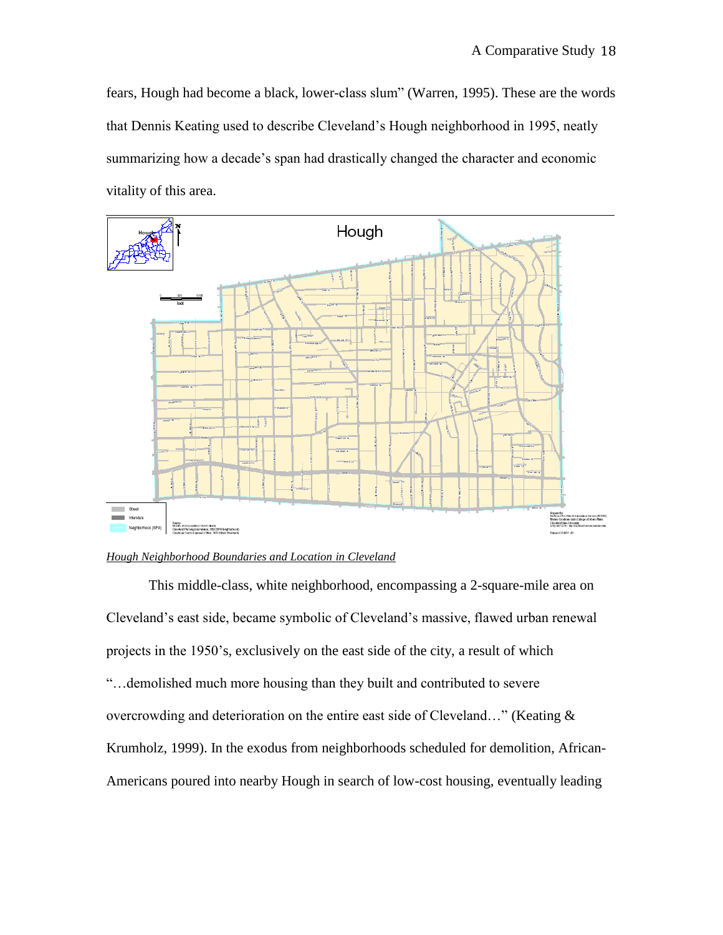fears, Hough had become a black, lower-class slum" (Warren, 1995). These are the words that Dennis Keating used to describe Cleveland"s Hough neighborhood in 1995, neatly summarizing how a decade's span had drastically changed the character and economic vitality of this area.



#### *Hough Neighborhood Boundaries and Location in Cleveland*

This middle-class, white neighborhood, encompassing a 2-square-mile area on Cleveland"s east side, became symbolic of Cleveland"s massive, flawed urban renewal projects in the 1950"s, exclusively on the east side of the city, a result of which "…demolished much more housing than they built and contributed to severe overcrowding and deterioration on the entire east side of Cleveland…" (Keating & Krumholz, 1999). In the exodus from neighborhoods scheduled for demolition, African-Americans poured into nearby Hough in search of low-cost housing, eventually leading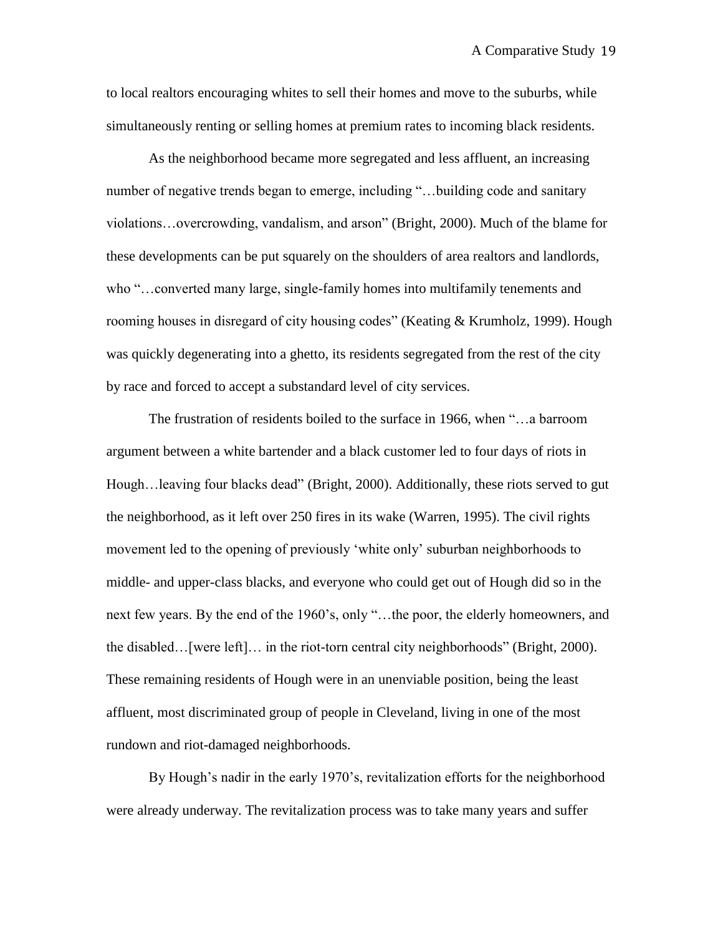to local realtors encouraging whites to sell their homes and move to the suburbs, while simultaneously renting or selling homes at premium rates to incoming black residents.

As the neighborhood became more segregated and less affluent, an increasing number of negative trends began to emerge, including "...building code and sanitary violations…overcrowding, vandalism, and arson" (Bright, 2000). Much of the blame for these developments can be put squarely on the shoulders of area realtors and landlords, who "…converted many large, single-family homes into multifamily tenements and rooming houses in disregard of city housing codes" (Keating & Krumholz, 1999). Hough was quickly degenerating into a ghetto, its residents segregated from the rest of the city by race and forced to accept a substandard level of city services.

The frustration of residents boiled to the surface in 1966, when "…a barroom argument between a white bartender and a black customer led to four days of riots in Hough…leaving four blacks dead" (Bright, 2000). Additionally, these riots served to gut the neighborhood, as it left over 250 fires in its wake (Warren, 1995). The civil rights movement led to the opening of previously "white only" suburban neighborhoods to middle- and upper-class blacks, and everyone who could get out of Hough did so in the next few years. By the end of the 1960's, only "...the poor, the elderly homeowners, and the disabled…[were left]… in the riot-torn central city neighborhoods" (Bright, 2000). These remaining residents of Hough were in an unenviable position, being the least affluent, most discriminated group of people in Cleveland, living in one of the most rundown and riot-damaged neighborhoods.

By Hough's nadir in the early 1970's, revitalization efforts for the neighborhood were already underway. The revitalization process was to take many years and suffer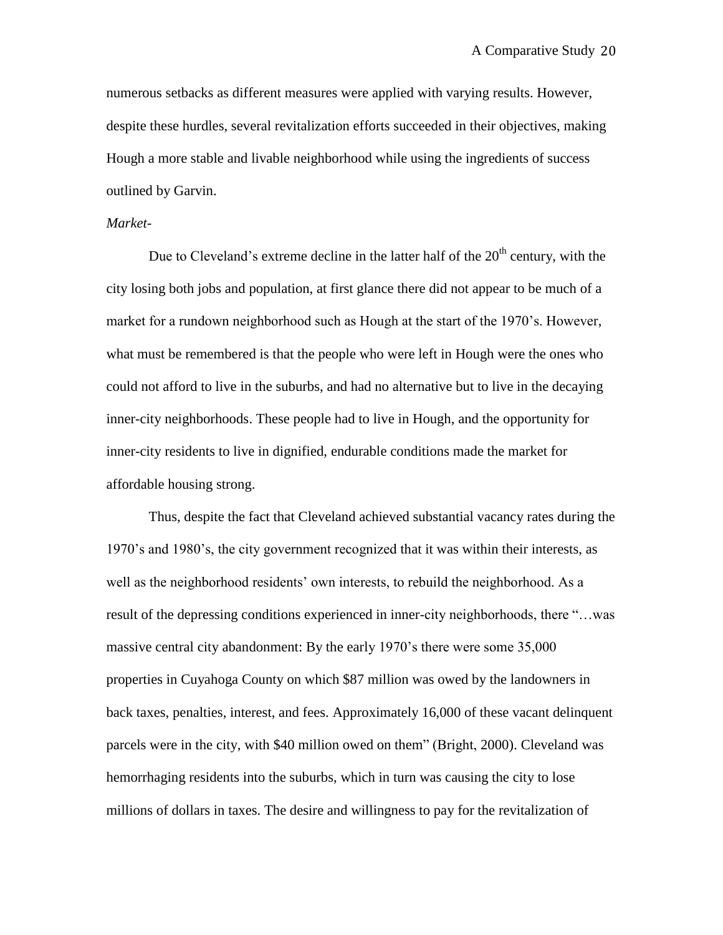numerous setbacks as different measures were applied with varying results. However, despite these hurdles, several revitalization efforts succeeded in their objectives, making Hough a more stable and livable neighborhood while using the ingredients of success outlined by Garvin.

## *Market-*

Due to Cleveland's extreme decline in the latter half of the  $20<sup>th</sup>$  century, with the city losing both jobs and population, at first glance there did not appear to be much of a market for a rundown neighborhood such as Hough at the start of the 1970"s. However, what must be remembered is that the people who were left in Hough were the ones who could not afford to live in the suburbs, and had no alternative but to live in the decaying inner-city neighborhoods. These people had to live in Hough, and the opportunity for inner-city residents to live in dignified, endurable conditions made the market for affordable housing strong.

Thus, despite the fact that Cleveland achieved substantial vacancy rates during the 1970"s and 1980"s, the city government recognized that it was within their interests, as well as the neighborhood residents' own interests, to rebuild the neighborhood. As a result of the depressing conditions experienced in inner-city neighborhoods, there "…was massive central city abandonment: By the early 1970"s there were some 35,000 properties in Cuyahoga County on which \$87 million was owed by the landowners in back taxes, penalties, interest, and fees. Approximately 16,000 of these vacant delinquent parcels were in the city, with \$40 million owed on them" (Bright, 2000). Cleveland was hemorrhaging residents into the suburbs, which in turn was causing the city to lose millions of dollars in taxes. The desire and willingness to pay for the revitalization of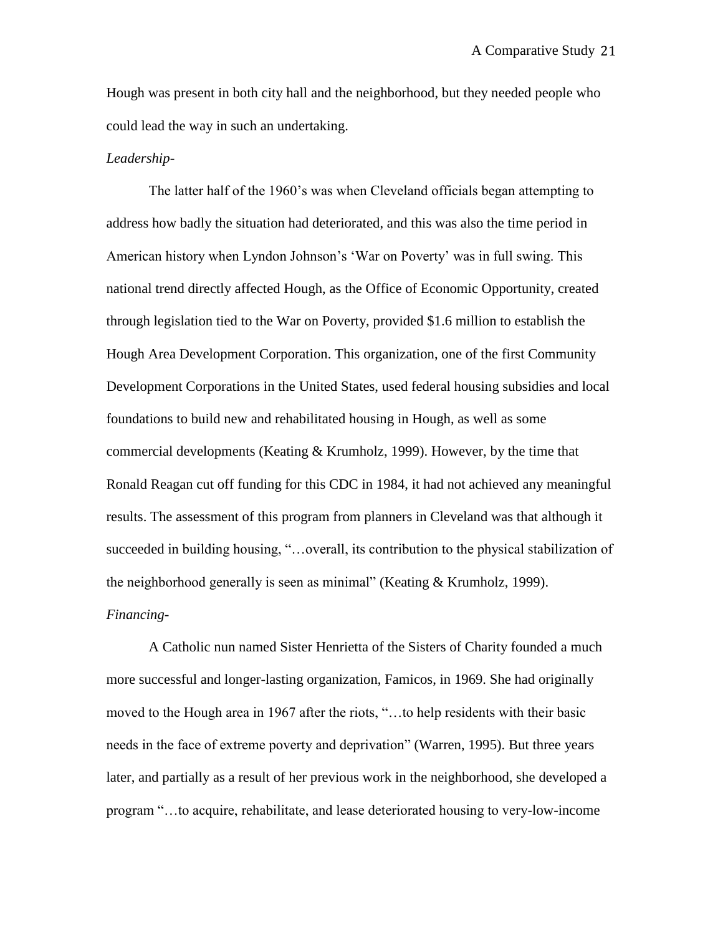Hough was present in both city hall and the neighborhood, but they needed people who could lead the way in such an undertaking.

## *Leadership*-

The latter half of the 1960"s was when Cleveland officials began attempting to address how badly the situation had deteriorated, and this was also the time period in American history when Lyndon Johnson's 'War on Poverty' was in full swing. This national trend directly affected Hough, as the Office of Economic Opportunity, created through legislation tied to the War on Poverty, provided \$1.6 million to establish the Hough Area Development Corporation. This organization, one of the first Community Development Corporations in the United States, used federal housing subsidies and local foundations to build new and rehabilitated housing in Hough, as well as some commercial developments (Keating & Krumholz, 1999). However, by the time that Ronald Reagan cut off funding for this CDC in 1984, it had not achieved any meaningful results. The assessment of this program from planners in Cleveland was that although it succeeded in building housing, "…overall, its contribution to the physical stabilization of the neighborhood generally is seen as minimal" (Keating & Krumholz, 1999). *Financing-*

A Catholic nun named Sister Henrietta of the Sisters of Charity founded a much more successful and longer-lasting organization, Famicos, in 1969. She had originally moved to the Hough area in 1967 after the riots, "…to help residents with their basic needs in the face of extreme poverty and deprivation" (Warren, 1995). But three years later, and partially as a result of her previous work in the neighborhood, she developed a program "…to acquire, rehabilitate, and lease deteriorated housing to very-low-income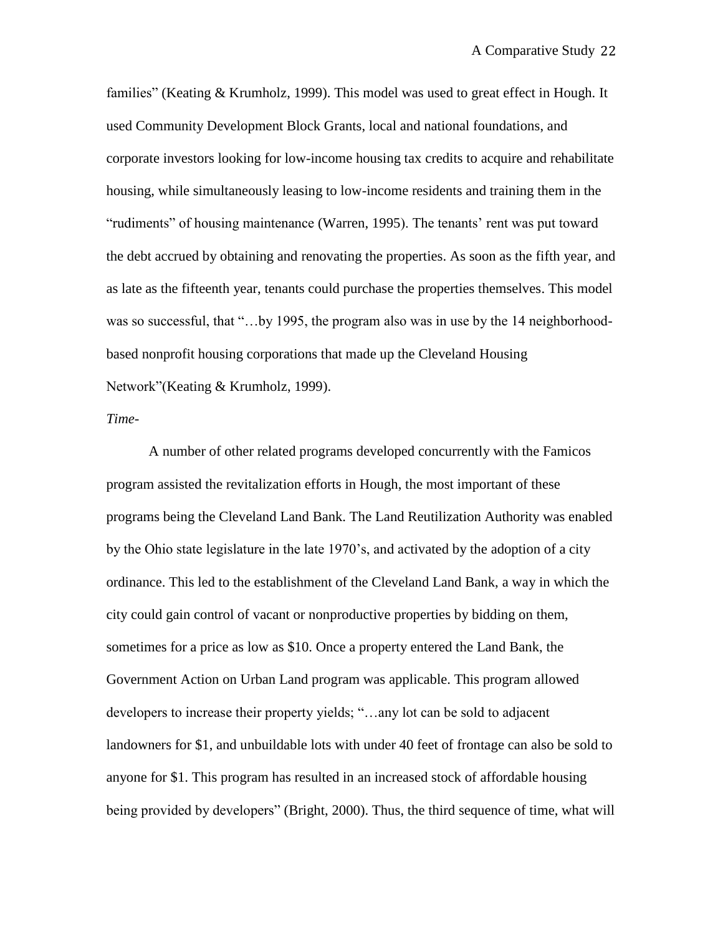families" (Keating & Krumholz, 1999). This model was used to great effect in Hough. It used Community Development Block Grants, local and national foundations, and corporate investors looking for low-income housing tax credits to acquire and rehabilitate housing, while simultaneously leasing to low-income residents and training them in the "rudiments" of housing maintenance (Warren, 1995). The tenants" rent was put toward the debt accrued by obtaining and renovating the properties. As soon as the fifth year, and as late as the fifteenth year, tenants could purchase the properties themselves. This model was so successful, that "...by 1995, the program also was in use by the 14 neighborhoodbased nonprofit housing corporations that made up the Cleveland Housing Network"(Keating & Krumholz, 1999).

### *Time-*

A number of other related programs developed concurrently with the Famicos program assisted the revitalization efforts in Hough, the most important of these programs being the Cleveland Land Bank. The Land Reutilization Authority was enabled by the Ohio state legislature in the late 1970"s, and activated by the adoption of a city ordinance. This led to the establishment of the Cleveland Land Bank, a way in which the city could gain control of vacant or nonproductive properties by bidding on them, sometimes for a price as low as \$10. Once a property entered the Land Bank, the Government Action on Urban Land program was applicable. This program allowed developers to increase their property yields; "…any lot can be sold to adjacent landowners for \$1, and unbuildable lots with under 40 feet of frontage can also be sold to anyone for \$1. This program has resulted in an increased stock of affordable housing being provided by developers" (Bright, 2000). Thus, the third sequence of time, what will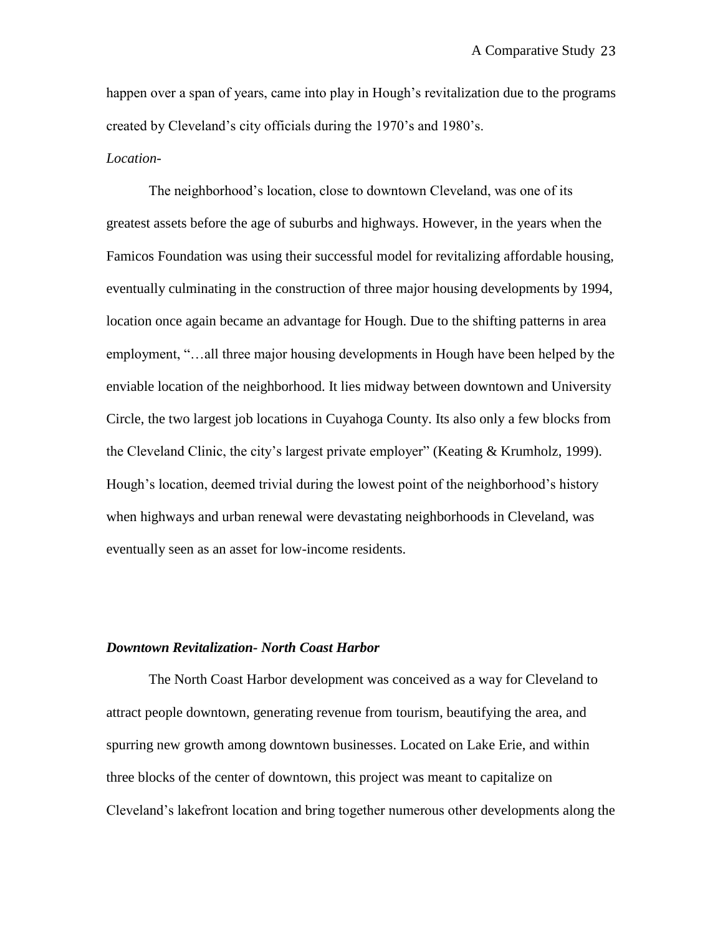happen over a span of years, came into play in Hough's revitalization due to the programs created by Cleveland"s city officials during the 1970"s and 1980"s.

## *Location-*

The neighborhood"s location, close to downtown Cleveland, was one of its greatest assets before the age of suburbs and highways. However, in the years when the Famicos Foundation was using their successful model for revitalizing affordable housing, eventually culminating in the construction of three major housing developments by 1994, location once again became an advantage for Hough. Due to the shifting patterns in area employment, "…all three major housing developments in Hough have been helped by the enviable location of the neighborhood. It lies midway between downtown and University Circle, the two largest job locations in Cuyahoga County. Its also only a few blocks from the Cleveland Clinic, the city"s largest private employer" (Keating & Krumholz, 1999). Hough's location, deemed trivial during the lowest point of the neighborhood's history when highways and urban renewal were devastating neighborhoods in Cleveland, was eventually seen as an asset for low-income residents.

## *Downtown Revitalization- North Coast Harbor*

The North Coast Harbor development was conceived as a way for Cleveland to attract people downtown, generating revenue from tourism, beautifying the area, and spurring new growth among downtown businesses. Located on Lake Erie, and within three blocks of the center of downtown, this project was meant to capitalize on Cleveland"s lakefront location and bring together numerous other developments along the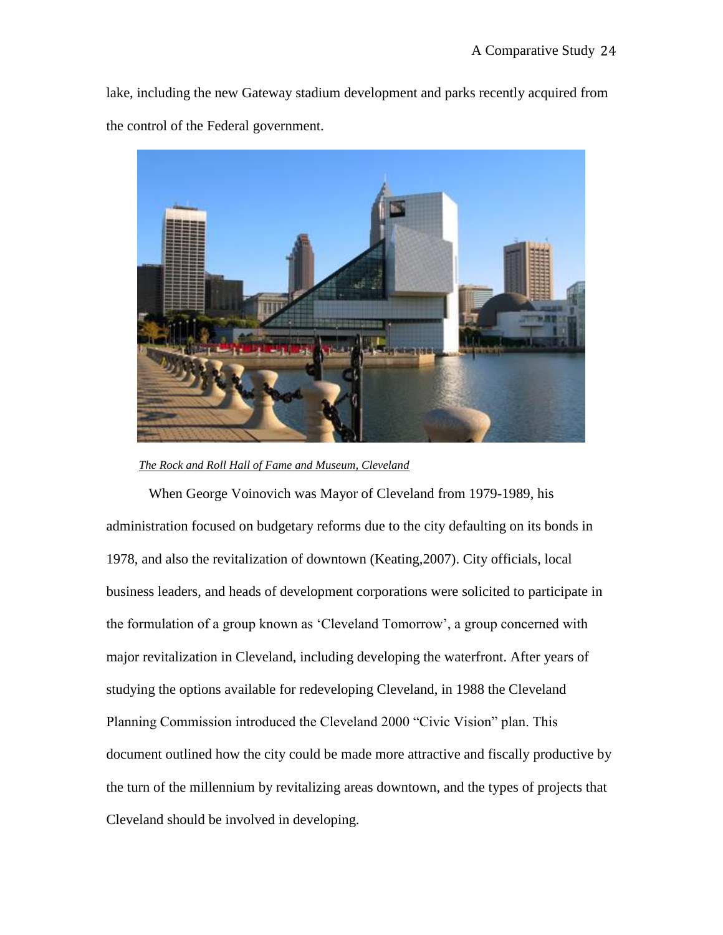lake, including the new Gateway stadium development and parks recently acquired from the control of the Federal government.



 *The Rock and Roll Hall of Fame and Museum, Cleveland*

When George Voinovich was Mayor of Cleveland from 1979-1989, his administration focused on budgetary reforms due to the city defaulting on its bonds in 1978, and also the revitalization of downtown (Keating,2007). City officials, local business leaders, and heads of development corporations were solicited to participate in the formulation of a group known as "Cleveland Tomorrow", a group concerned with major revitalization in Cleveland, including developing the waterfront. After years of studying the options available for redeveloping Cleveland, in 1988 the Cleveland Planning Commission introduced the Cleveland 2000 "Civic Vision" plan. This document outlined how the city could be made more attractive and fiscally productive by the turn of the millennium by revitalizing areas downtown, and the types of projects that Cleveland should be involved in developing.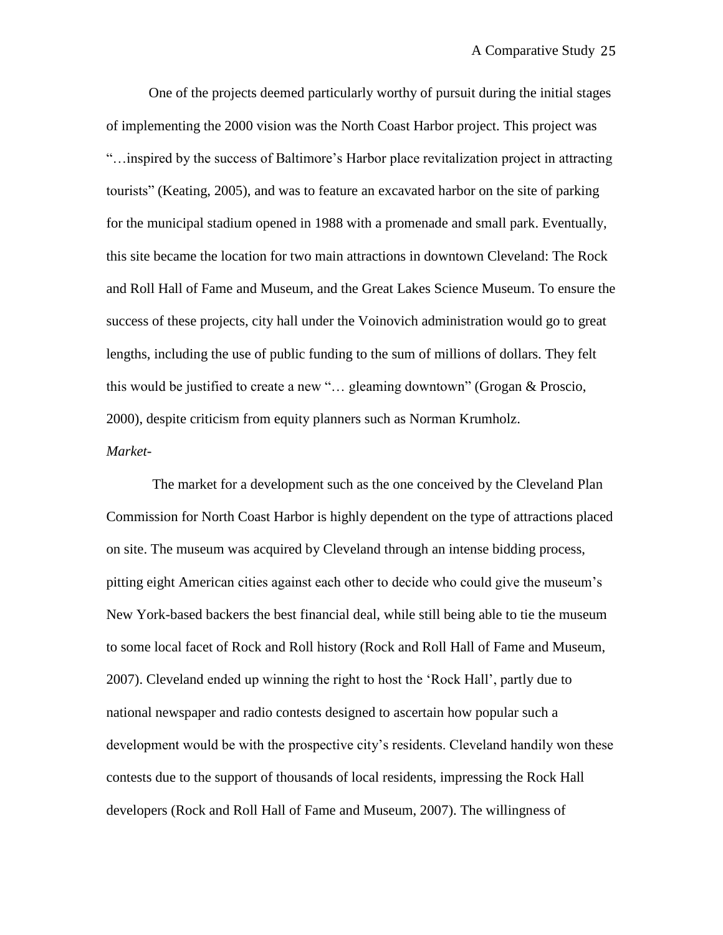One of the projects deemed particularly worthy of pursuit during the initial stages of implementing the 2000 vision was the North Coast Harbor project. This project was "…inspired by the success of Baltimore"s Harbor place revitalization project in attracting tourists" (Keating, 2005), and was to feature an excavated harbor on the site of parking for the municipal stadium opened in 1988 with a promenade and small park. Eventually, this site became the location for two main attractions in downtown Cleveland: The Rock and Roll Hall of Fame and Museum, and the Great Lakes Science Museum. To ensure the success of these projects, city hall under the Voinovich administration would go to great lengths, including the use of public funding to the sum of millions of dollars. They felt this would be justified to create a new "… gleaming downtown" (Grogan & Proscio, 2000), despite criticism from equity planners such as Norman Krumholz. *Market-*

The market for a development such as the one conceived by the Cleveland Plan Commission for North Coast Harbor is highly dependent on the type of attractions placed on site. The museum was acquired by Cleveland through an intense bidding process, pitting eight American cities against each other to decide who could give the museum"s New York-based backers the best financial deal, while still being able to tie the museum to some local facet of Rock and Roll history (Rock and Roll Hall of Fame and Museum, 2007). Cleveland ended up winning the right to host the "Rock Hall", partly due to national newspaper and radio contests designed to ascertain how popular such a development would be with the prospective city"s residents. Cleveland handily won these contests due to the support of thousands of local residents, impressing the Rock Hall developers (Rock and Roll Hall of Fame and Museum, 2007). The willingness of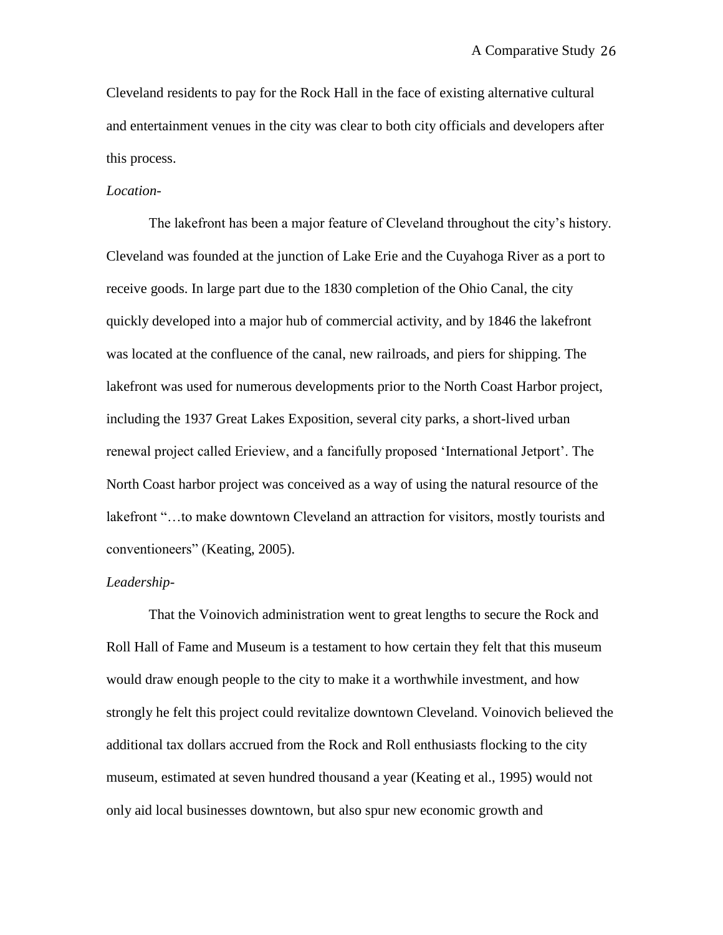Cleveland residents to pay for the Rock Hall in the face of existing alternative cultural and entertainment venues in the city was clear to both city officials and developers after this process.

## *Location-*

The lakefront has been a major feature of Cleveland throughout the city's history. Cleveland was founded at the junction of Lake Erie and the Cuyahoga River as a port to receive goods. In large part due to the 1830 completion of the Ohio Canal, the city quickly developed into a major hub of commercial activity, and by 1846 the lakefront was located at the confluence of the canal, new railroads, and piers for shipping. The lakefront was used for numerous developments prior to the North Coast Harbor project, including the 1937 Great Lakes Exposition, several city parks, a short-lived urban renewal project called Erieview, and a fancifully proposed "International Jetport". The North Coast harbor project was conceived as a way of using the natural resource of the lakefront "…to make downtown Cleveland an attraction for visitors, mostly tourists and conventioneers" (Keating, 2005).

#### *Leadership-*

That the Voinovich administration went to great lengths to secure the Rock and Roll Hall of Fame and Museum is a testament to how certain they felt that this museum would draw enough people to the city to make it a worthwhile investment, and how strongly he felt this project could revitalize downtown Cleveland. Voinovich believed the additional tax dollars accrued from the Rock and Roll enthusiasts flocking to the city museum, estimated at seven hundred thousand a year (Keating et al., 1995) would not only aid local businesses downtown, but also spur new economic growth and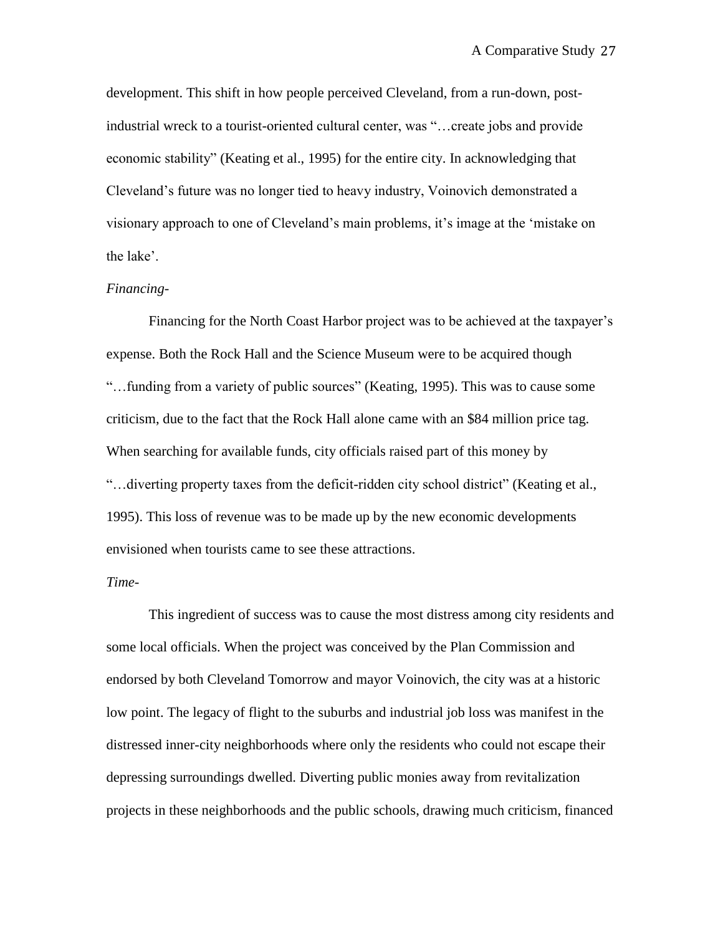development. This shift in how people perceived Cleveland, from a run-down, postindustrial wreck to a tourist-oriented cultural center, was "…create jobs and provide economic stability" (Keating et al., 1995) for the entire city. In acknowledging that Cleveland"s future was no longer tied to heavy industry, Voinovich demonstrated a visionary approach to one of Cleveland"s main problems, it"s image at the "mistake on the lake'.

## *Financing-*

Financing for the North Coast Harbor project was to be achieved at the taxpayer"s expense. Both the Rock Hall and the Science Museum were to be acquired though "…funding from a variety of public sources" (Keating, 1995). This was to cause some criticism, due to the fact that the Rock Hall alone came with an \$84 million price tag. When searching for available funds, city officials raised part of this money by "…diverting property taxes from the deficit-ridden city school district" (Keating et al., 1995). This loss of revenue was to be made up by the new economic developments envisioned when tourists came to see these attractions.

#### *Time-*

This ingredient of success was to cause the most distress among city residents and some local officials. When the project was conceived by the Plan Commission and endorsed by both Cleveland Tomorrow and mayor Voinovich, the city was at a historic low point. The legacy of flight to the suburbs and industrial job loss was manifest in the distressed inner-city neighborhoods where only the residents who could not escape their depressing surroundings dwelled. Diverting public monies away from revitalization projects in these neighborhoods and the public schools, drawing much criticism, financed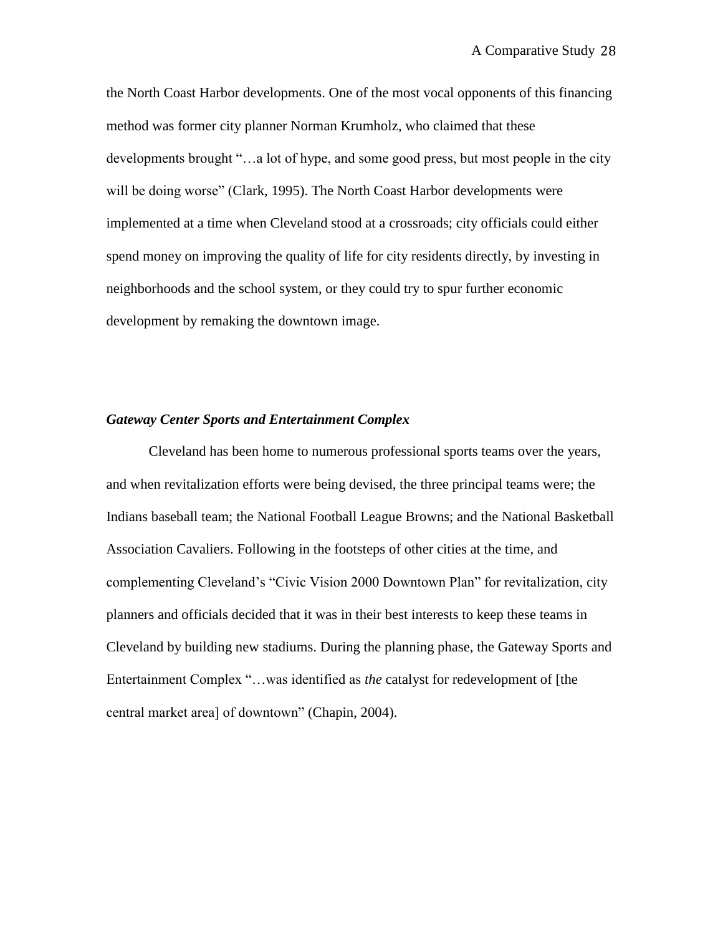the North Coast Harbor developments. One of the most vocal opponents of this financing method was former city planner Norman Krumholz, who claimed that these developments brought "…a lot of hype, and some good press, but most people in the city will be doing worse" (Clark, 1995). The North Coast Harbor developments were implemented at a time when Cleveland stood at a crossroads; city officials could either spend money on improving the quality of life for city residents directly, by investing in neighborhoods and the school system, or they could try to spur further economic development by remaking the downtown image.

#### *Gateway Center Sports and Entertainment Complex*

Cleveland has been home to numerous professional sports teams over the years, and when revitalization efforts were being devised, the three principal teams were; the Indians baseball team; the National Football League Browns; and the National Basketball Association Cavaliers. Following in the footsteps of other cities at the time, and complementing Cleveland"s "Civic Vision 2000 Downtown Plan" for revitalization, city planners and officials decided that it was in their best interests to keep these teams in Cleveland by building new stadiums. During the planning phase, the Gateway Sports and Entertainment Complex "…was identified as *the* catalyst for redevelopment of [the central market area] of downtown" (Chapin, 2004).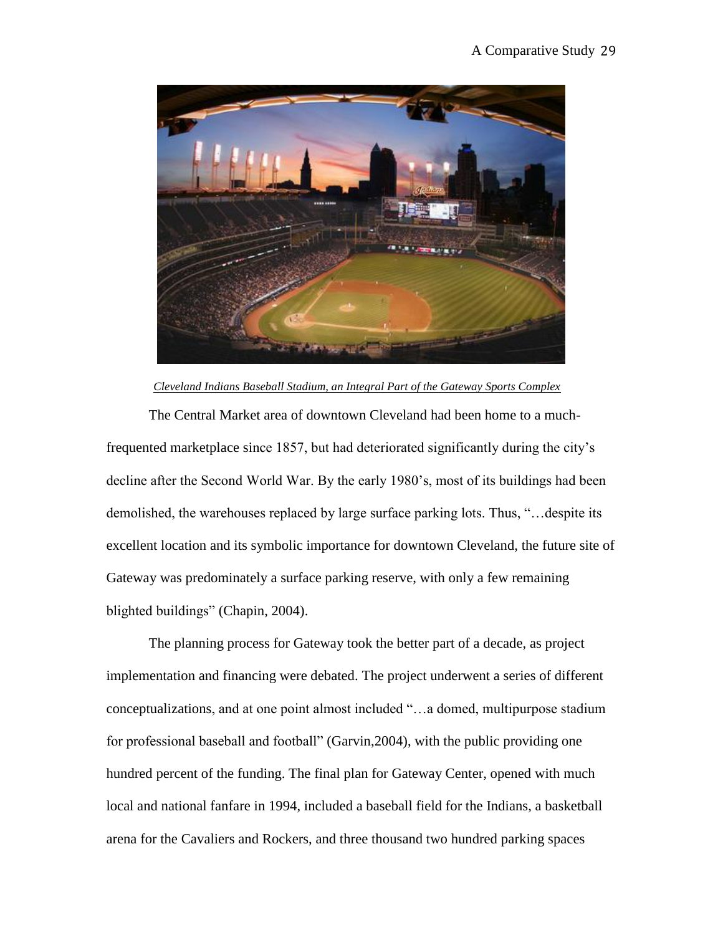

## *Cleveland Indians Baseball Stadium, an Integral Part of the Gateway Sports Complex*

The Central Market area of downtown Cleveland had been home to a muchfrequented marketplace since 1857, but had deteriorated significantly during the city"s decline after the Second World War. By the early 1980"s, most of its buildings had been demolished, the warehouses replaced by large surface parking lots. Thus, "…despite its excellent location and its symbolic importance for downtown Cleveland, the future site of Gateway was predominately a surface parking reserve, with only a few remaining blighted buildings" (Chapin, 2004).

The planning process for Gateway took the better part of a decade, as project implementation and financing were debated. The project underwent a series of different conceptualizations, and at one point almost included "…a domed, multipurpose stadium for professional baseball and football" (Garvin,2004), with the public providing one hundred percent of the funding. The final plan for Gateway Center, opened with much local and national fanfare in 1994, included a baseball field for the Indians, a basketball arena for the Cavaliers and Rockers, and three thousand two hundred parking spaces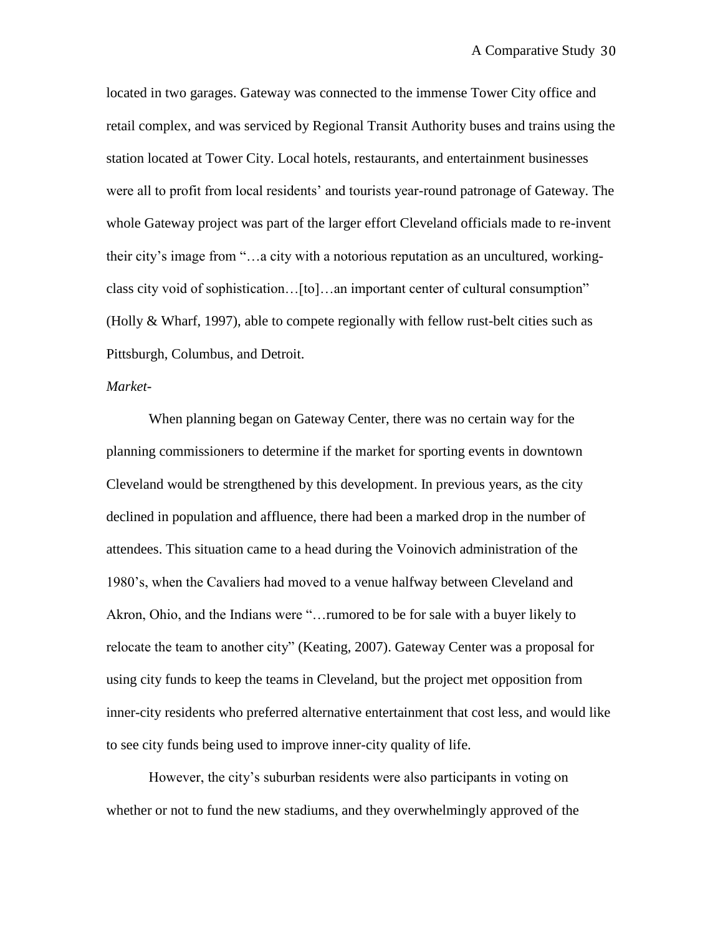located in two garages. Gateway was connected to the immense Tower City office and retail complex, and was serviced by Regional Transit Authority buses and trains using the station located at Tower City. Local hotels, restaurants, and entertainment businesses were all to profit from local residents" and tourists year-round patronage of Gateway. The whole Gateway project was part of the larger effort Cleveland officials made to re-invent their city"s image from "…a city with a notorious reputation as an uncultured, workingclass city void of sophistication…[to]…an important center of cultural consumption" (Holly & Wharf, 1997), able to compete regionally with fellow rust-belt cities such as Pittsburgh, Columbus, and Detroit.

## *Market*-

When planning began on Gateway Center, there was no certain way for the planning commissioners to determine if the market for sporting events in downtown Cleveland would be strengthened by this development. In previous years, as the city declined in population and affluence, there had been a marked drop in the number of attendees. This situation came to a head during the Voinovich administration of the 1980"s, when the Cavaliers had moved to a venue halfway between Cleveland and Akron, Ohio, and the Indians were "…rumored to be for sale with a buyer likely to relocate the team to another city" (Keating, 2007). Gateway Center was a proposal for using city funds to keep the teams in Cleveland, but the project met opposition from inner-city residents who preferred alternative entertainment that cost less, and would like to see city funds being used to improve inner-city quality of life.

However, the city's suburban residents were also participants in voting on whether or not to fund the new stadiums, and they overwhelmingly approved of the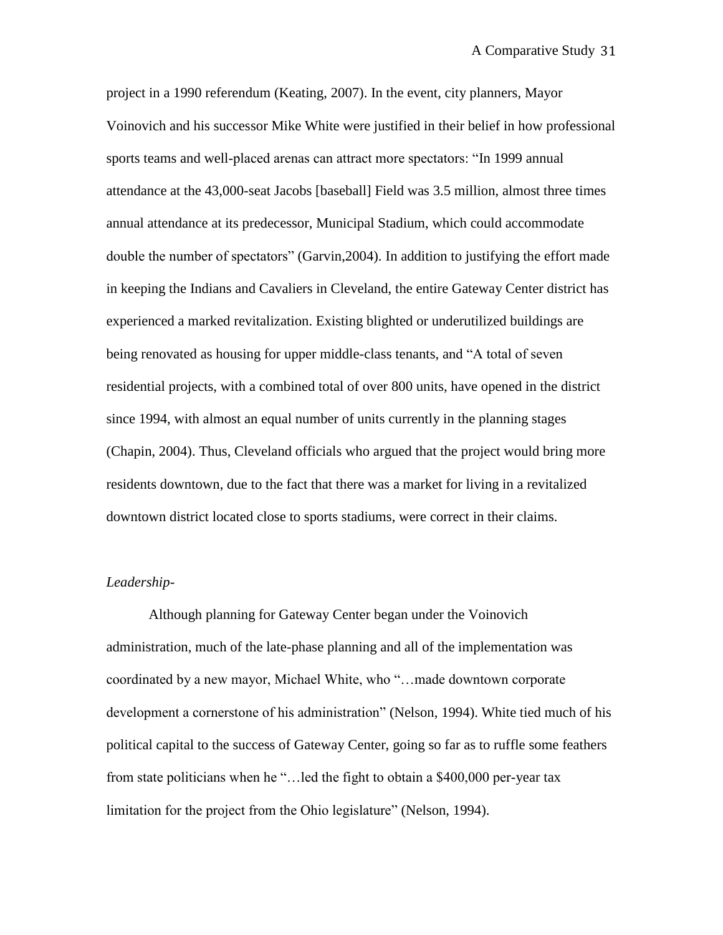project in a 1990 referendum (Keating, 2007). In the event, city planners, Mayor Voinovich and his successor Mike White were justified in their belief in how professional sports teams and well-placed arenas can attract more spectators: "In 1999 annual attendance at the 43,000-seat Jacobs [baseball] Field was 3.5 million, almost three times annual attendance at its predecessor, Municipal Stadium, which could accommodate double the number of spectators" (Garvin,2004). In addition to justifying the effort made in keeping the Indians and Cavaliers in Cleveland, the entire Gateway Center district has experienced a marked revitalization. Existing blighted or underutilized buildings are being renovated as housing for upper middle-class tenants, and "A total of seven residential projects, with a combined total of over 800 units, have opened in the district since 1994, with almost an equal number of units currently in the planning stages (Chapin, 2004). Thus, Cleveland officials who argued that the project would bring more residents downtown, due to the fact that there was a market for living in a revitalized downtown district located close to sports stadiums, were correct in their claims.

## *Leadership-*

Although planning for Gateway Center began under the Voinovich administration, much of the late-phase planning and all of the implementation was coordinated by a new mayor, Michael White, who "…made downtown corporate development a cornerstone of his administration" (Nelson, 1994). White tied much of his political capital to the success of Gateway Center, going so far as to ruffle some feathers from state politicians when he "…led the fight to obtain a \$400,000 per-year tax limitation for the project from the Ohio legislature" (Nelson, 1994).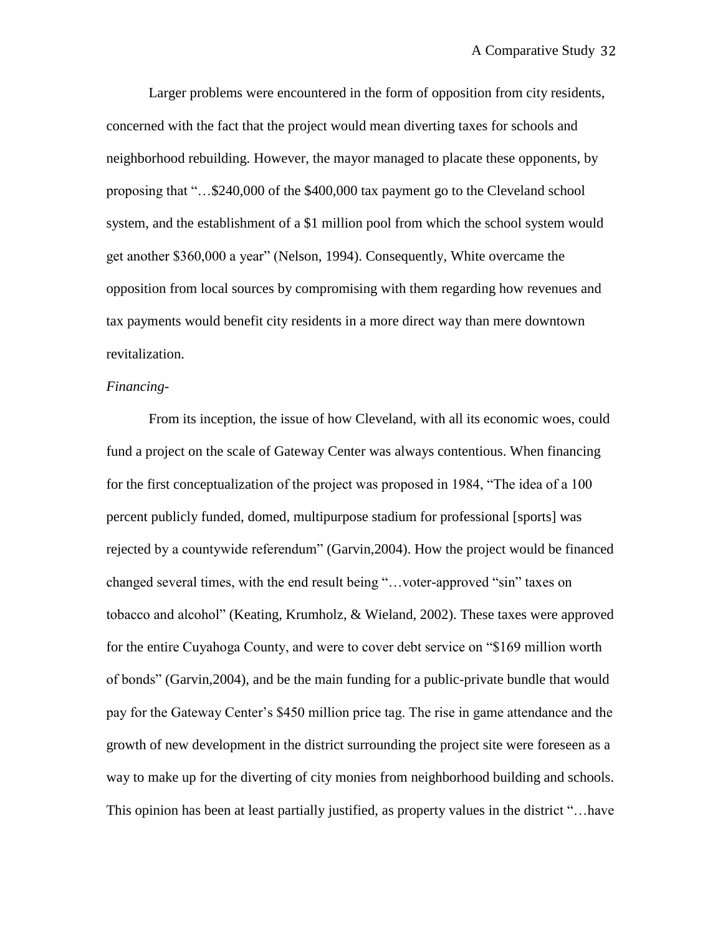Larger problems were encountered in the form of opposition from city residents, concerned with the fact that the project would mean diverting taxes for schools and neighborhood rebuilding. However, the mayor managed to placate these opponents, by proposing that "…\$240,000 of the \$400,000 tax payment go to the Cleveland school system, and the establishment of a \$1 million pool from which the school system would get another \$360,000 a year" (Nelson, 1994). Consequently, White overcame the opposition from local sources by compromising with them regarding how revenues and tax payments would benefit city residents in a more direct way than mere downtown revitalization.

## *Financing-*

From its inception, the issue of how Cleveland, with all its economic woes, could fund a project on the scale of Gateway Center was always contentious. When financing for the first conceptualization of the project was proposed in 1984, "The idea of a 100 percent publicly funded, domed, multipurpose stadium for professional [sports] was rejected by a countywide referendum" (Garvin,2004). How the project would be financed changed several times, with the end result being "…voter-approved "sin" taxes on tobacco and alcohol" (Keating, Krumholz, & Wieland, 2002). These taxes were approved for the entire Cuyahoga County, and were to cover debt service on "\$169 million worth of bonds" (Garvin,2004), and be the main funding for a public-private bundle that would pay for the Gateway Center"s \$450 million price tag. The rise in game attendance and the growth of new development in the district surrounding the project site were foreseen as a way to make up for the diverting of city monies from neighborhood building and schools. This opinion has been at least partially justified, as property values in the district "…have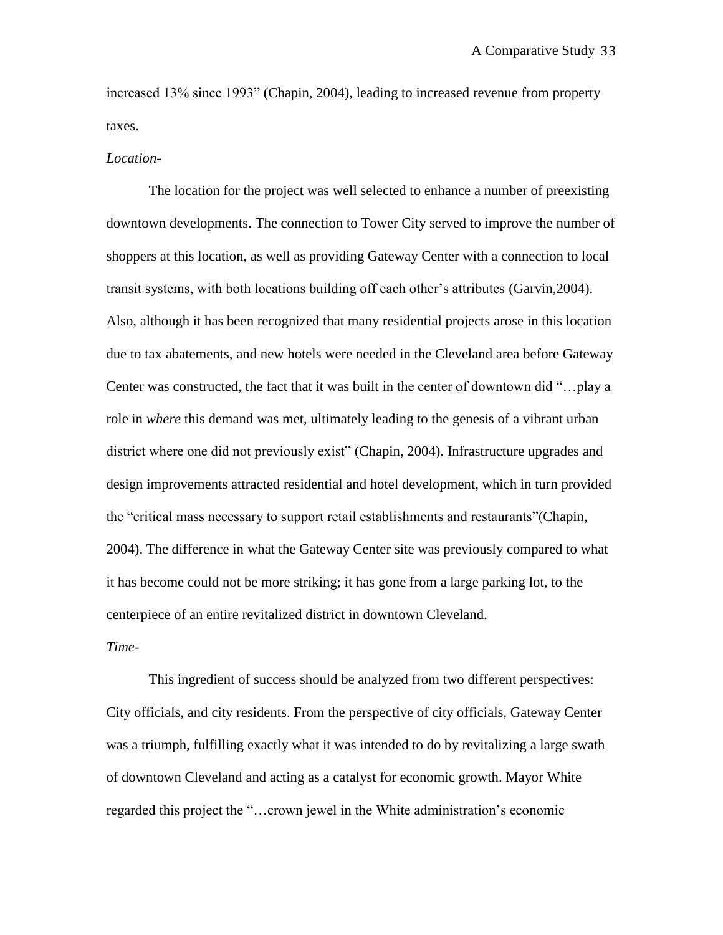increased 13% since 1993" (Chapin, 2004), leading to increased revenue from property taxes.

#### *Location-*

The location for the project was well selected to enhance a number of preexisting downtown developments. The connection to Tower City served to improve the number of shoppers at this location, as well as providing Gateway Center with a connection to local transit systems, with both locations building off each other"s attributes (Garvin,2004). Also, although it has been recognized that many residential projects arose in this location due to tax abatements, and new hotels were needed in the Cleveland area before Gateway Center was constructed, the fact that it was built in the center of downtown did "…play a role in *where* this demand was met, ultimately leading to the genesis of a vibrant urban district where one did not previously exist" (Chapin, 2004). Infrastructure upgrades and design improvements attracted residential and hotel development, which in turn provided the "critical mass necessary to support retail establishments and restaurants"(Chapin, 2004). The difference in what the Gateway Center site was previously compared to what it has become could not be more striking; it has gone from a large parking lot, to the centerpiece of an entire revitalized district in downtown Cleveland.

## *Time-*

This ingredient of success should be analyzed from two different perspectives: City officials, and city residents. From the perspective of city officials, Gateway Center was a triumph, fulfilling exactly what it was intended to do by revitalizing a large swath of downtown Cleveland and acting as a catalyst for economic growth. Mayor White regarded this project the "…crown jewel in the White administration"s economic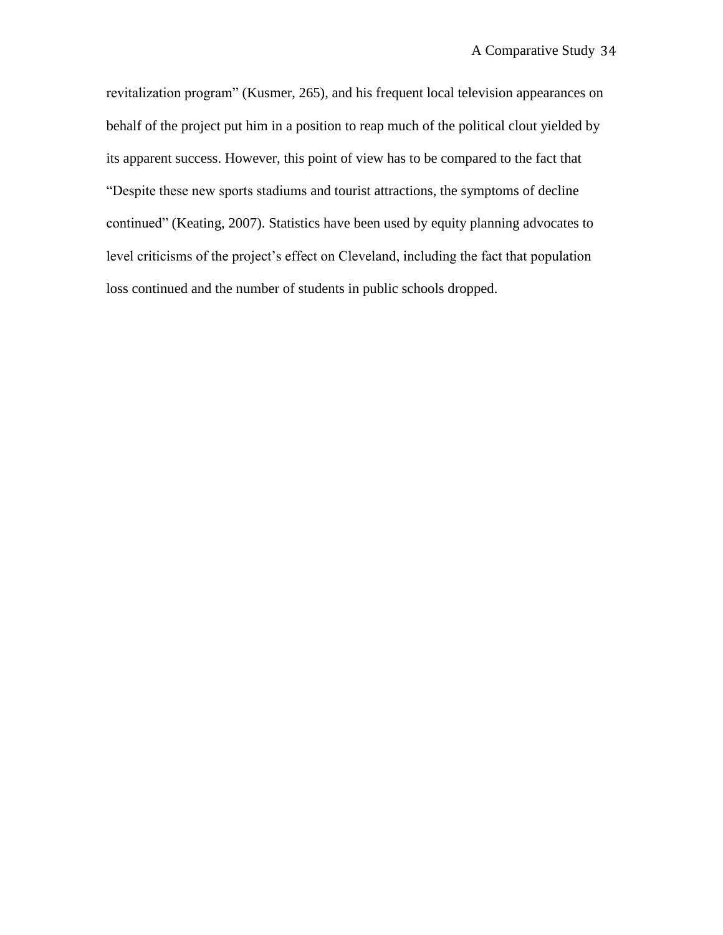revitalization program" (Kusmer, 265), and his frequent local television appearances on behalf of the project put him in a position to reap much of the political clout yielded by its apparent success. However, this point of view has to be compared to the fact that "Despite these new sports stadiums and tourist attractions, the symptoms of decline continued" (Keating, 2007). Statistics have been used by equity planning advocates to level criticisms of the project's effect on Cleveland, including the fact that population loss continued and the number of students in public schools dropped.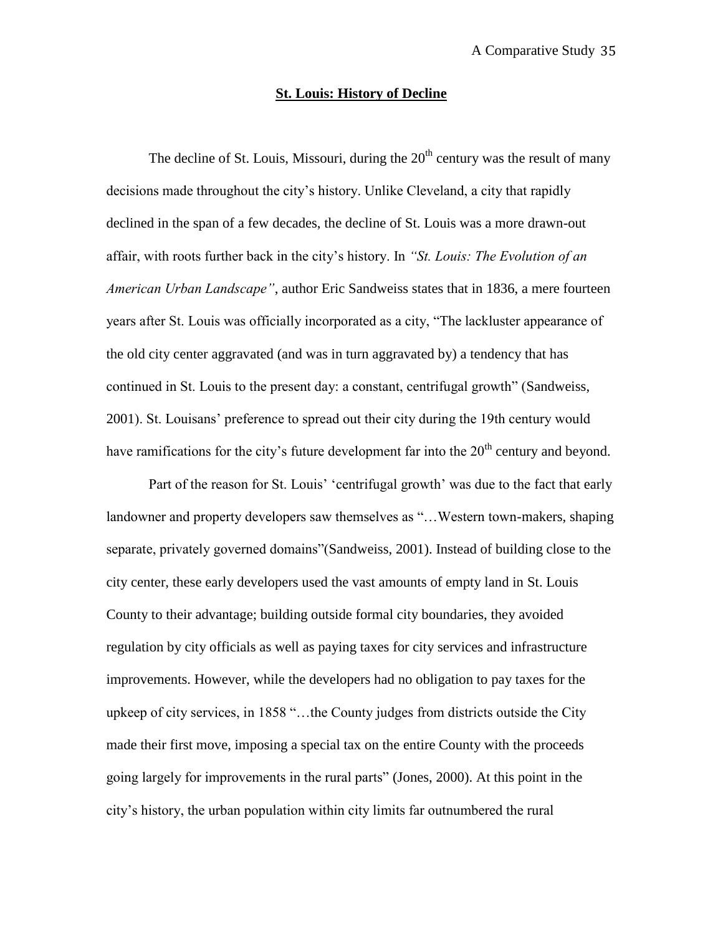### **St. Louis: History of Decline**

The decline of St. Louis, Missouri, during the  $20<sup>th</sup>$  century was the result of many decisions made throughout the city"s history. Unlike Cleveland, a city that rapidly declined in the span of a few decades, the decline of St. Louis was a more drawn-out affair, with roots further back in the city"s history. In *"St. Louis: The Evolution of an American Urban Landscape"*, author Eric Sandweiss states that in 1836, a mere fourteen years after St. Louis was officially incorporated as a city, "The lackluster appearance of the old city center aggravated (and was in turn aggravated by) a tendency that has continued in St. Louis to the present day: a constant, centrifugal growth" (Sandweiss, 2001). St. Louisans" preference to spread out their city during the 19th century would have ramifications for the city's future development far into the  $20<sup>th</sup>$  century and beyond.

Part of the reason for St. Louis' 'centrifugal growth' was due to the fact that early landowner and property developers saw themselves as "…Western town-makers, shaping separate, privately governed domains"(Sandweiss, 2001). Instead of building close to the city center, these early developers used the vast amounts of empty land in St. Louis County to their advantage; building outside formal city boundaries, they avoided regulation by city officials as well as paying taxes for city services and infrastructure improvements. However, while the developers had no obligation to pay taxes for the upkeep of city services, in 1858 "…the County judges from districts outside the City made their first move, imposing a special tax on the entire County with the proceeds going largely for improvements in the rural parts" (Jones, 2000). At this point in the city"s history, the urban population within city limits far outnumbered the rural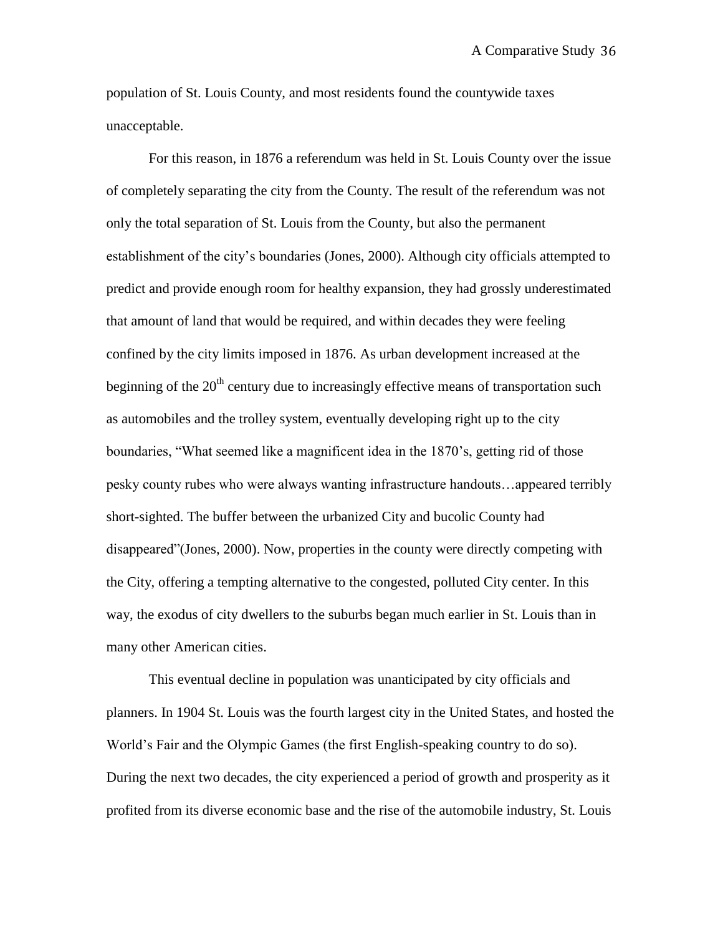population of St. Louis County, and most residents found the countywide taxes unacceptable.

For this reason, in 1876 a referendum was held in St. Louis County over the issue of completely separating the city from the County. The result of the referendum was not only the total separation of St. Louis from the County, but also the permanent establishment of the city"s boundaries (Jones, 2000). Although city officials attempted to predict and provide enough room for healthy expansion, they had grossly underestimated that amount of land that would be required, and within decades they were feeling confined by the city limits imposed in 1876. As urban development increased at the beginning of the  $20<sup>th</sup>$  century due to increasingly effective means of transportation such as automobiles and the trolley system, eventually developing right up to the city boundaries, "What seemed like a magnificent idea in the 1870"s, getting rid of those pesky county rubes who were always wanting infrastructure handouts…appeared terribly short-sighted. The buffer between the urbanized City and bucolic County had disappeared"(Jones, 2000). Now, properties in the county were directly competing with the City, offering a tempting alternative to the congested, polluted City center. In this way, the exodus of city dwellers to the suburbs began much earlier in St. Louis than in many other American cities.

This eventual decline in population was unanticipated by city officials and planners. In 1904 St. Louis was the fourth largest city in the United States, and hosted the World"s Fair and the Olympic Games (the first English-speaking country to do so). During the next two decades, the city experienced a period of growth and prosperity as it profited from its diverse economic base and the rise of the automobile industry, St. Louis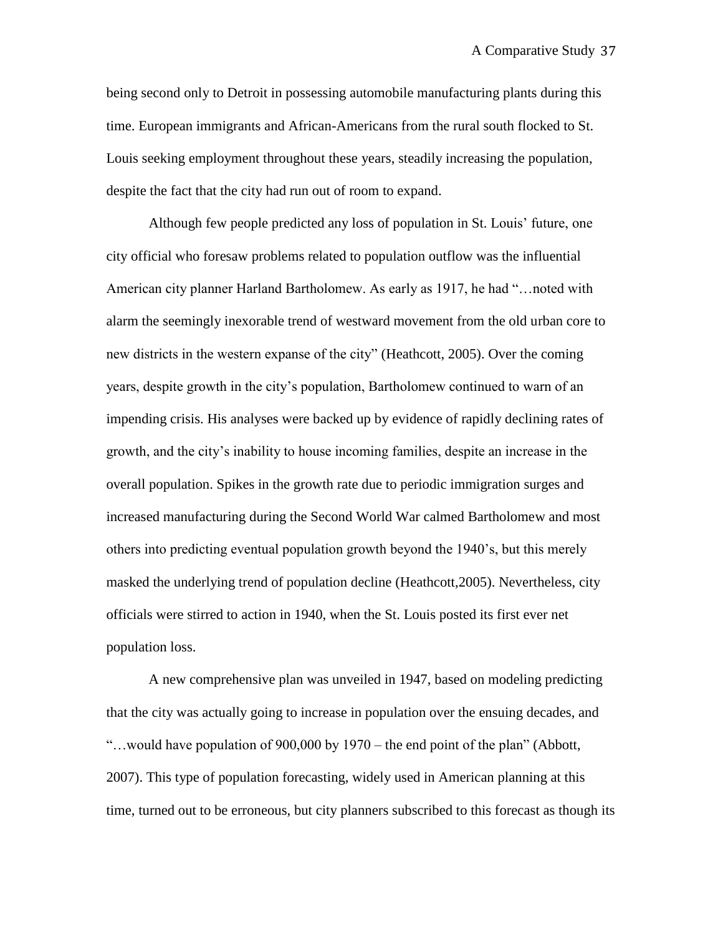being second only to Detroit in possessing automobile manufacturing plants during this time. European immigrants and African-Americans from the rural south flocked to St. Louis seeking employment throughout these years, steadily increasing the population, despite the fact that the city had run out of room to expand.

Although few people predicted any loss of population in St. Louis" future, one city official who foresaw problems related to population outflow was the influential American city planner Harland Bartholomew. As early as 1917, he had "…noted with alarm the seemingly inexorable trend of westward movement from the old urban core to new districts in the western expanse of the city" (Heathcott, 2005). Over the coming years, despite growth in the city"s population, Bartholomew continued to warn of an impending crisis. His analyses were backed up by evidence of rapidly declining rates of growth, and the city"s inability to house incoming families, despite an increase in the overall population. Spikes in the growth rate due to periodic immigration surges and increased manufacturing during the Second World War calmed Bartholomew and most others into predicting eventual population growth beyond the 1940"s, but this merely masked the underlying trend of population decline (Heathcott,2005). Nevertheless, city officials were stirred to action in 1940, when the St. Louis posted its first ever net population loss.

A new comprehensive plan was unveiled in 1947, based on modeling predicting that the city was actually going to increase in population over the ensuing decades, and "…would have population of 900,000 by 1970 – the end point of the plan" (Abbott, 2007). This type of population forecasting, widely used in American planning at this time, turned out to be erroneous, but city planners subscribed to this forecast as though its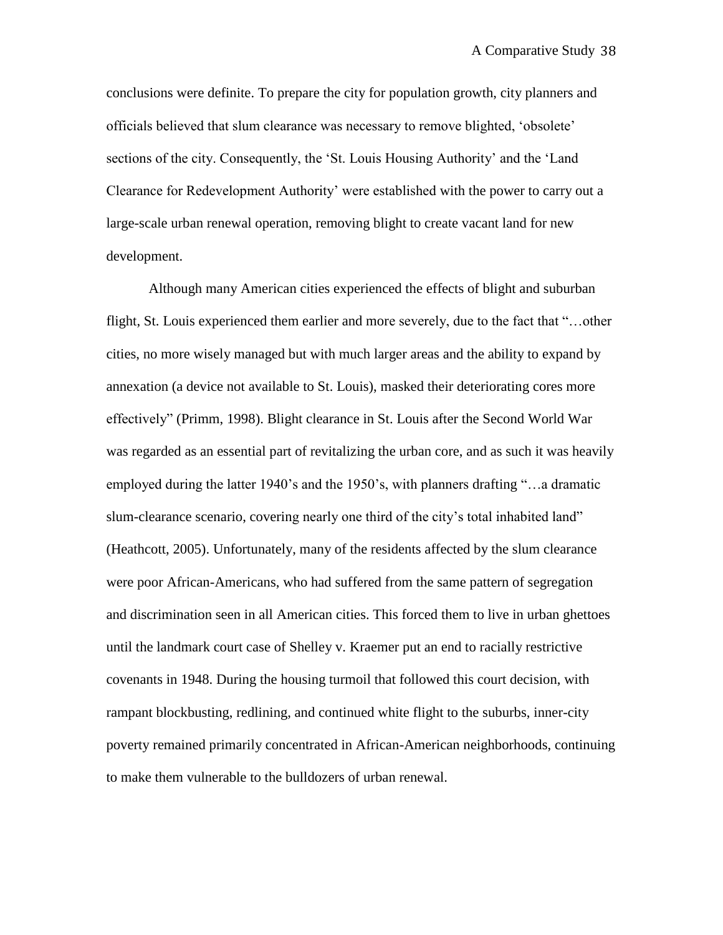conclusions were definite. To prepare the city for population growth, city planners and officials believed that slum clearance was necessary to remove blighted, "obsolete" sections of the city. Consequently, the "St. Louis Housing Authority" and the "Land Clearance for Redevelopment Authority" were established with the power to carry out a large-scale urban renewal operation, removing blight to create vacant land for new development.

Although many American cities experienced the effects of blight and suburban flight, St. Louis experienced them earlier and more severely, due to the fact that "…other cities, no more wisely managed but with much larger areas and the ability to expand by annexation (a device not available to St. Louis), masked their deteriorating cores more effectively" (Primm, 1998). Blight clearance in St. Louis after the Second World War was regarded as an essential part of revitalizing the urban core, and as such it was heavily employed during the latter 1940"s and the 1950"s, with planners drafting "…a dramatic slum-clearance scenario, covering nearly one third of the city"s total inhabited land" (Heathcott, 2005). Unfortunately, many of the residents affected by the slum clearance were poor African-Americans, who had suffered from the same pattern of segregation and discrimination seen in all American cities. This forced them to live in urban ghettoes until the landmark court case of Shelley v. Kraemer put an end to racially restrictive covenants in 1948. During the housing turmoil that followed this court decision, with rampant blockbusting, redlining, and continued white flight to the suburbs, inner-city poverty remained primarily concentrated in African-American neighborhoods, continuing to make them vulnerable to the bulldozers of urban renewal.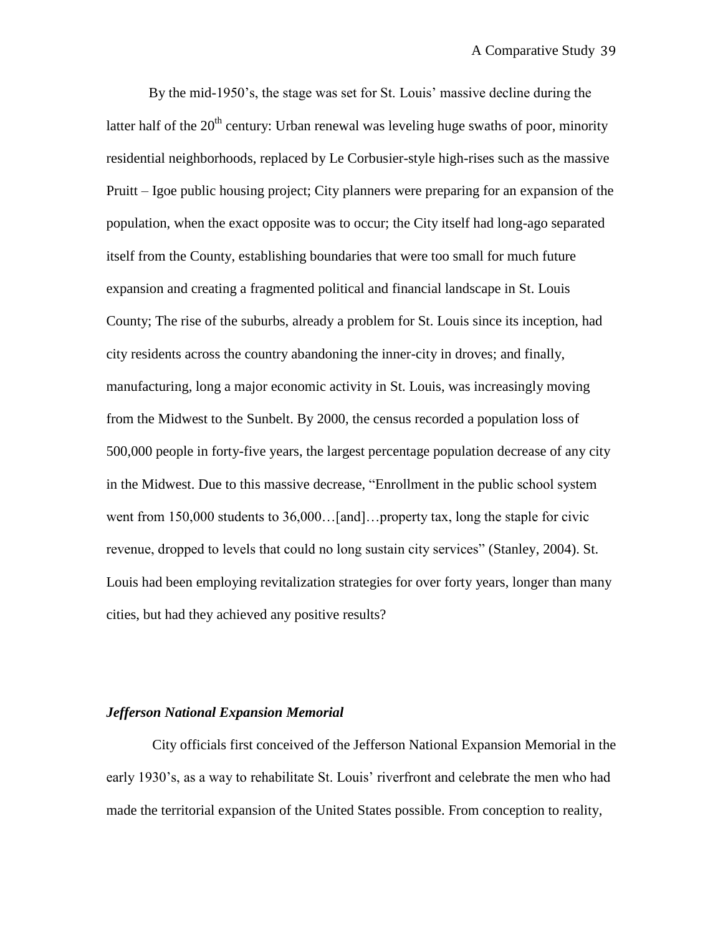By the mid-1950"s, the stage was set for St. Louis" massive decline during the latter half of the  $20<sup>th</sup>$  century: Urban renewal was leveling huge swaths of poor, minority residential neighborhoods, replaced by Le Corbusier-style high-rises such as the massive Pruitt – Igoe public housing project; City planners were preparing for an expansion of the population, when the exact opposite was to occur; the City itself had long-ago separated itself from the County, establishing boundaries that were too small for much future expansion and creating a fragmented political and financial landscape in St. Louis County; The rise of the suburbs, already a problem for St. Louis since its inception, had city residents across the country abandoning the inner-city in droves; and finally, manufacturing, long a major economic activity in St. Louis, was increasingly moving from the Midwest to the Sunbelt. By 2000, the census recorded a population loss of 500,000 people in forty-five years, the largest percentage population decrease of any city in the Midwest. Due to this massive decrease, "Enrollment in the public school system went from 150,000 students to 36,000...[and]...property tax, long the staple for civic revenue, dropped to levels that could no long sustain city services" (Stanley, 2004). St. Louis had been employing revitalization strategies for over forty years, longer than many cities, but had they achieved any positive results?

#### *Jefferson National Expansion Memorial*

City officials first conceived of the Jefferson National Expansion Memorial in the early 1930"s, as a way to rehabilitate St. Louis" riverfront and celebrate the men who had made the territorial expansion of the United States possible. From conception to reality,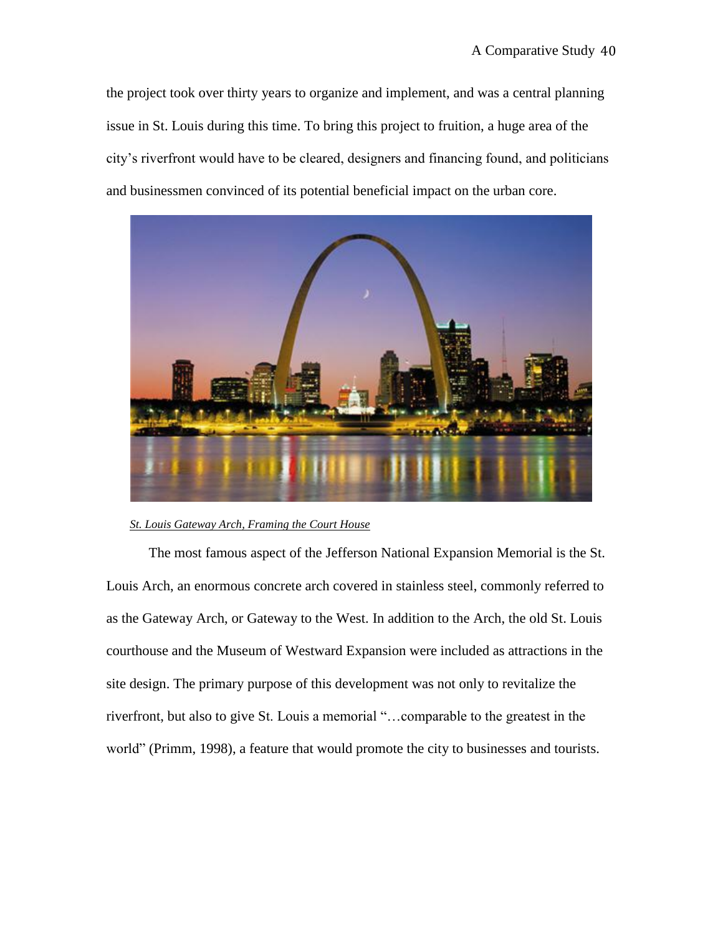the project took over thirty years to organize and implement, and was a central planning issue in St. Louis during this time. To bring this project to fruition, a huge area of the city"s riverfront would have to be cleared, designers and financing found, and politicians and businessmen convinced of its potential beneficial impact on the urban core.



#### *St. Louis Gateway Arch, Framing the Court House*

The most famous aspect of the Jefferson National Expansion Memorial is the St. Louis Arch, an enormous concrete arch covered in stainless steel, commonly referred to as the Gateway Arch, or Gateway to the West. In addition to the Arch, the old St. Louis courthouse and the Museum of Westward Expansion were included as attractions in the site design. The primary purpose of this development was not only to revitalize the riverfront, but also to give St. Louis a memorial "…comparable to the greatest in the world" (Primm, 1998), a feature that would promote the city to businesses and tourists.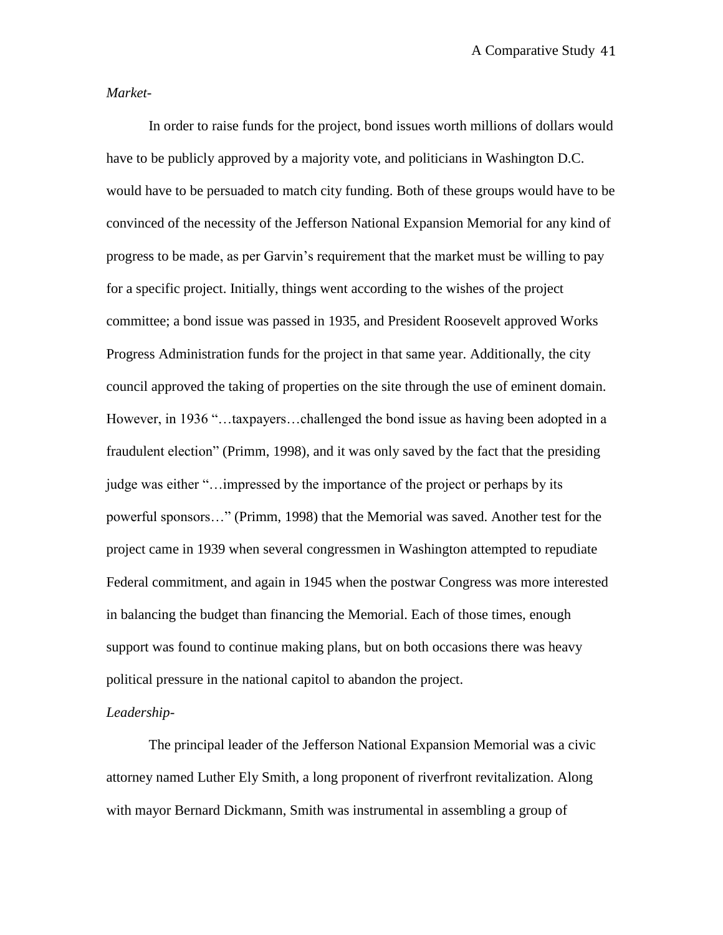*Market*-

In order to raise funds for the project, bond issues worth millions of dollars would have to be publicly approved by a majority vote, and politicians in Washington D.C. would have to be persuaded to match city funding. Both of these groups would have to be convinced of the necessity of the Jefferson National Expansion Memorial for any kind of progress to be made, as per Garvin"s requirement that the market must be willing to pay for a specific project. Initially, things went according to the wishes of the project committee; a bond issue was passed in 1935, and President Roosevelt approved Works Progress Administration funds for the project in that same year. Additionally, the city council approved the taking of properties on the site through the use of eminent domain. However, in 1936 "…taxpayers…challenged the bond issue as having been adopted in a fraudulent election" (Primm, 1998), and it was only saved by the fact that the presiding judge was either "…impressed by the importance of the project or perhaps by its powerful sponsors…" (Primm, 1998) that the Memorial was saved. Another test for the project came in 1939 when several congressmen in Washington attempted to repudiate Federal commitment, and again in 1945 when the postwar Congress was more interested in balancing the budget than financing the Memorial. Each of those times, enough support was found to continue making plans, but on both occasions there was heavy political pressure in the national capitol to abandon the project.

## *Leadership*-

The principal leader of the Jefferson National Expansion Memorial was a civic attorney named Luther Ely Smith, a long proponent of riverfront revitalization. Along with mayor Bernard Dickmann, Smith was instrumental in assembling a group of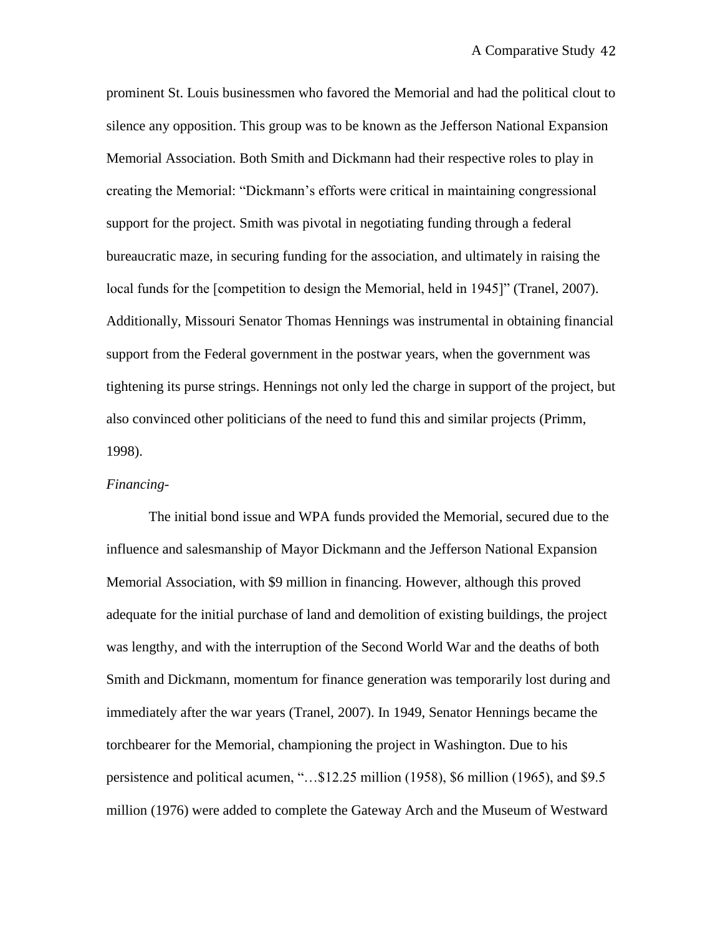prominent St. Louis businessmen who favored the Memorial and had the political clout to silence any opposition. This group was to be known as the Jefferson National Expansion Memorial Association. Both Smith and Dickmann had their respective roles to play in creating the Memorial: "Dickmann"s efforts were critical in maintaining congressional support for the project. Smith was pivotal in negotiating funding through a federal bureaucratic maze, in securing funding for the association, and ultimately in raising the local funds for the [competition to design the Memorial, held in 1945]" (Tranel, 2007). Additionally, Missouri Senator Thomas Hennings was instrumental in obtaining financial support from the Federal government in the postwar years, when the government was tightening its purse strings. Hennings not only led the charge in support of the project, but also convinced other politicians of the need to fund this and similar projects (Primm, 1998).

### *Financing*-

The initial bond issue and WPA funds provided the Memorial, secured due to the influence and salesmanship of Mayor Dickmann and the Jefferson National Expansion Memorial Association, with \$9 million in financing. However, although this proved adequate for the initial purchase of land and demolition of existing buildings, the project was lengthy, and with the interruption of the Second World War and the deaths of both Smith and Dickmann, momentum for finance generation was temporarily lost during and immediately after the war years (Tranel, 2007). In 1949, Senator Hennings became the torchbearer for the Memorial, championing the project in Washington. Due to his persistence and political acumen, "…\$12.25 million (1958), \$6 million (1965), and \$9.5 million (1976) were added to complete the Gateway Arch and the Museum of Westward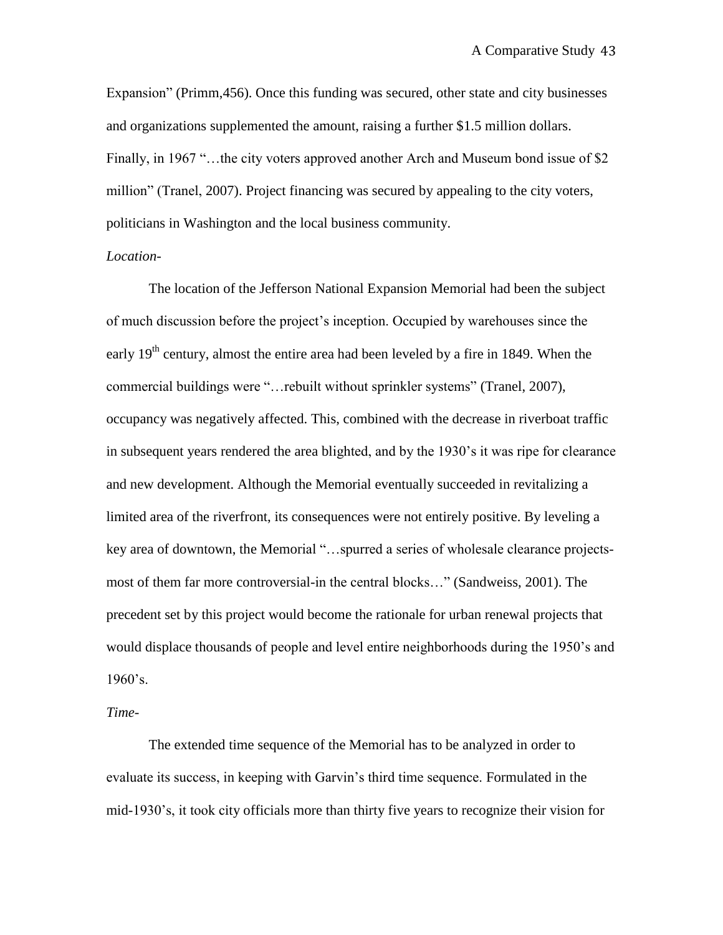Expansion" (Primm,456). Once this funding was secured, other state and city businesses and organizations supplemented the amount, raising a further \$1.5 million dollars. Finally, in 1967 "... the city voters approved another Arch and Museum bond issue of \$2 million" (Tranel, 2007). Project financing was secured by appealing to the city voters, politicians in Washington and the local business community.

## *Location*-

The location of the Jefferson National Expansion Memorial had been the subject of much discussion before the project"s inception. Occupied by warehouses since the early  $19<sup>th</sup>$  century, almost the entire area had been leveled by a fire in 1849. When the commercial buildings were "…rebuilt without sprinkler systems" (Tranel, 2007), occupancy was negatively affected. This, combined with the decrease in riverboat traffic in subsequent years rendered the area blighted, and by the 1930"s it was ripe for clearance and new development. Although the Memorial eventually succeeded in revitalizing a limited area of the riverfront, its consequences were not entirely positive. By leveling a key area of downtown, the Memorial "…spurred a series of wholesale clearance projectsmost of them far more controversial-in the central blocks…" (Sandweiss, 2001). The precedent set by this project would become the rationale for urban renewal projects that would displace thousands of people and level entire neighborhoods during the 1950"s and  $1960$ 's.

#### *Time-*

The extended time sequence of the Memorial has to be analyzed in order to evaluate its success, in keeping with Garvin"s third time sequence. Formulated in the mid-1930"s, it took city officials more than thirty five years to recognize their vision for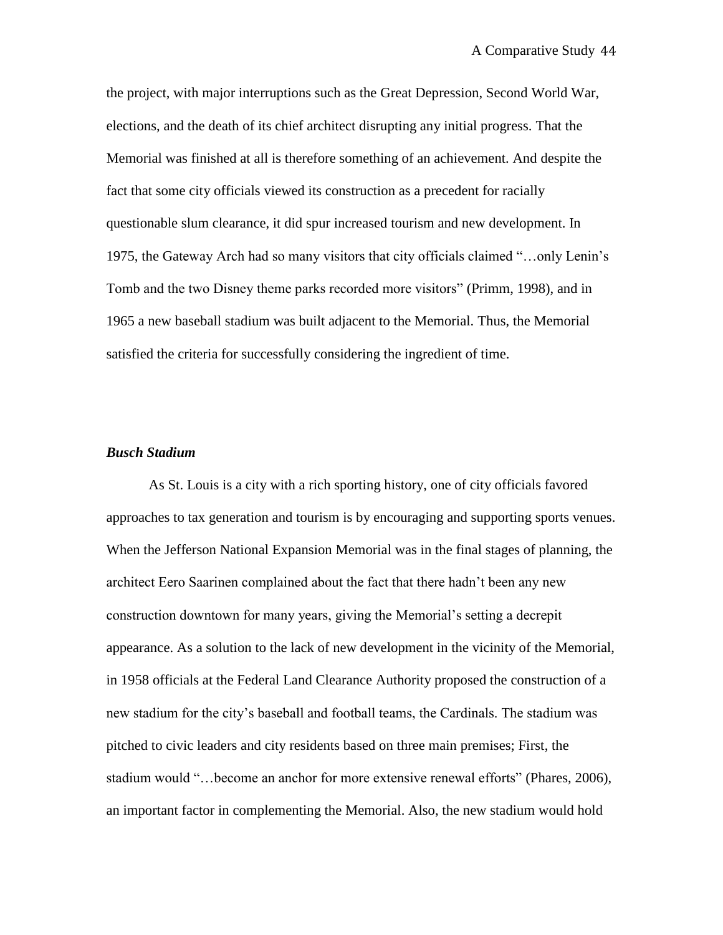the project, with major interruptions such as the Great Depression, Second World War, elections, and the death of its chief architect disrupting any initial progress. That the Memorial was finished at all is therefore something of an achievement. And despite the fact that some city officials viewed its construction as a precedent for racially questionable slum clearance, it did spur increased tourism and new development. In 1975, the Gateway Arch had so many visitors that city officials claimed "…only Lenin"s Tomb and the two Disney theme parks recorded more visitors" (Primm, 1998), and in 1965 a new baseball stadium was built adjacent to the Memorial. Thus, the Memorial satisfied the criteria for successfully considering the ingredient of time.

#### *Busch Stadium*

As St. Louis is a city with a rich sporting history, one of city officials favored approaches to tax generation and tourism is by encouraging and supporting sports venues. When the Jefferson National Expansion Memorial was in the final stages of planning, the architect Eero Saarinen complained about the fact that there hadn"t been any new construction downtown for many years, giving the Memorial"s setting a decrepit appearance. As a solution to the lack of new development in the vicinity of the Memorial, in 1958 officials at the Federal Land Clearance Authority proposed the construction of a new stadium for the city"s baseball and football teams, the Cardinals. The stadium was pitched to civic leaders and city residents based on three main premises; First, the stadium would "…become an anchor for more extensive renewal efforts" (Phares, 2006), an important factor in complementing the Memorial. Also, the new stadium would hold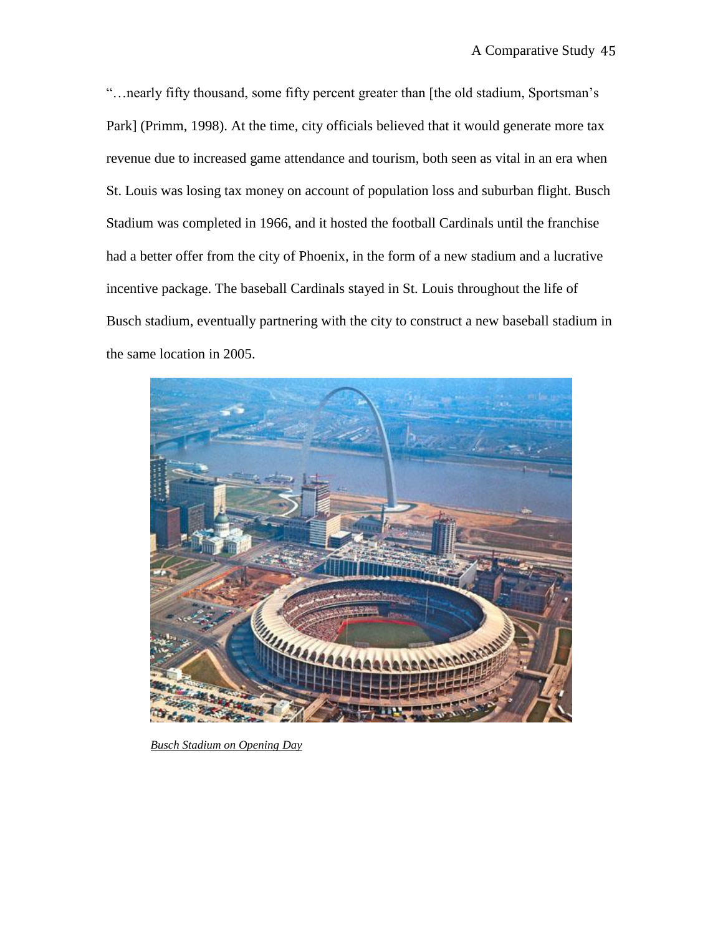"…nearly fifty thousand, some fifty percent greater than [the old stadium, Sportsman"s Park] (Primm, 1998). At the time, city officials believed that it would generate more tax revenue due to increased game attendance and tourism, both seen as vital in an era when St. Louis was losing tax money on account of population loss and suburban flight. Busch Stadium was completed in 1966, and it hosted the football Cardinals until the franchise had a better offer from the city of Phoenix, in the form of a new stadium and a lucrative incentive package. The baseball Cardinals stayed in St. Louis throughout the life of Busch stadium, eventually partnering with the city to construct a new baseball stadium in the same location in 2005.



*Busch Stadium on Opening Day*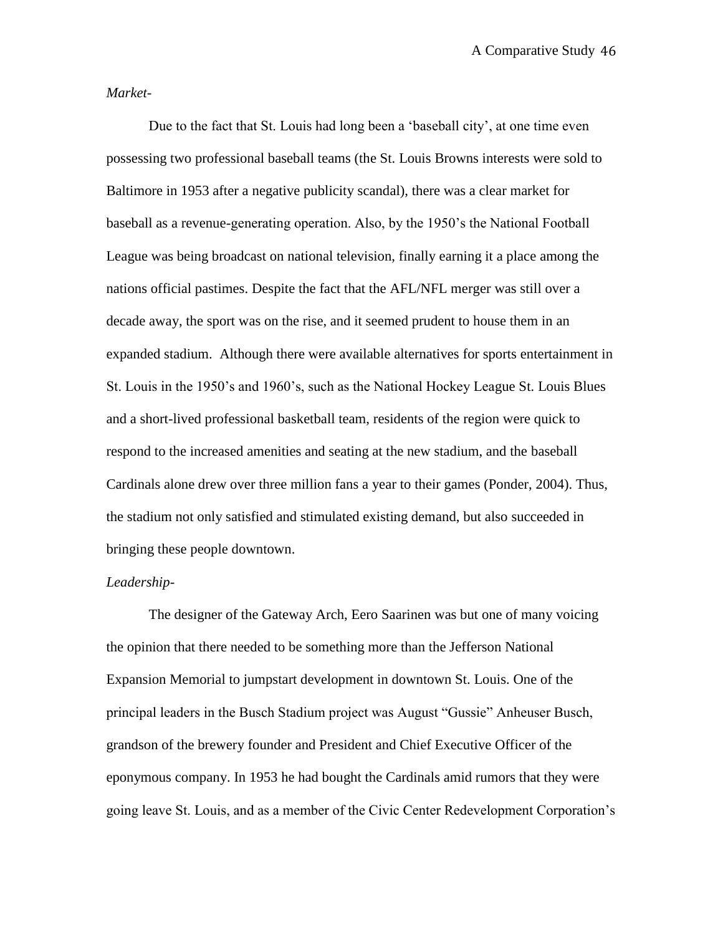*Market-*

Due to the fact that St. Louis had long been a "baseball city", at one time even possessing two professional baseball teams (the St. Louis Browns interests were sold to Baltimore in 1953 after a negative publicity scandal), there was a clear market for baseball as a revenue-generating operation. Also, by the 1950"s the National Football League was being broadcast on national television, finally earning it a place among the nations official pastimes. Despite the fact that the AFL/NFL merger was still over a decade away, the sport was on the rise, and it seemed prudent to house them in an expanded stadium. Although there were available alternatives for sports entertainment in St. Louis in the 1950"s and 1960"s, such as the National Hockey League St. Louis Blues and a short-lived professional basketball team, residents of the region were quick to respond to the increased amenities and seating at the new stadium, and the baseball Cardinals alone drew over three million fans a year to their games (Ponder, 2004). Thus, the stadium not only satisfied and stimulated existing demand, but also succeeded in bringing these people downtown.

#### *Leadership-*

The designer of the Gateway Arch, Eero Saarinen was but one of many voicing the opinion that there needed to be something more than the Jefferson National Expansion Memorial to jumpstart development in downtown St. Louis. One of the principal leaders in the Busch Stadium project was August "Gussie" Anheuser Busch, grandson of the brewery founder and President and Chief Executive Officer of the eponymous company. In 1953 he had bought the Cardinals amid rumors that they were going leave St. Louis, and as a member of the Civic Center Redevelopment Corporation"s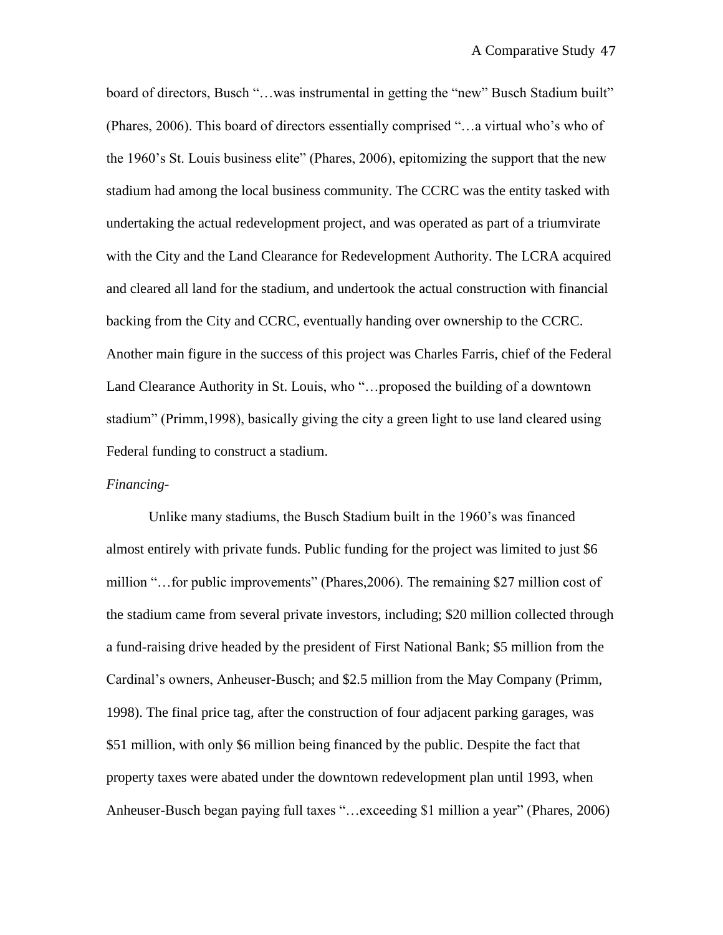board of directors, Busch "...was instrumental in getting the "new" Busch Stadium built" (Phares, 2006). This board of directors essentially comprised "…a virtual who"s who of the 1960"s St. Louis business elite" (Phares, 2006), epitomizing the support that the new stadium had among the local business community. The CCRC was the entity tasked with undertaking the actual redevelopment project, and was operated as part of a triumvirate with the City and the Land Clearance for Redevelopment Authority. The LCRA acquired and cleared all land for the stadium, and undertook the actual construction with financial backing from the City and CCRC, eventually handing over ownership to the CCRC. Another main figure in the success of this project was Charles Farris, chief of the Federal Land Clearance Authority in St. Louis, who "…proposed the building of a downtown stadium" (Primm,1998), basically giving the city a green light to use land cleared using Federal funding to construct a stadium.

### *Financing-*

Unlike many stadiums, the Busch Stadium built in the 1960"s was financed almost entirely with private funds. Public funding for the project was limited to just \$6 million "…for public improvements" (Phares,2006). The remaining \$27 million cost of the stadium came from several private investors, including; \$20 million collected through a fund-raising drive headed by the president of First National Bank; \$5 million from the Cardinal"s owners, Anheuser-Busch; and \$2.5 million from the May Company (Primm, 1998). The final price tag, after the construction of four adjacent parking garages, was \$51 million, with only \$6 million being financed by the public. Despite the fact that property taxes were abated under the downtown redevelopment plan until 1993, when Anheuser-Busch began paying full taxes "…exceeding \$1 million a year" (Phares, 2006)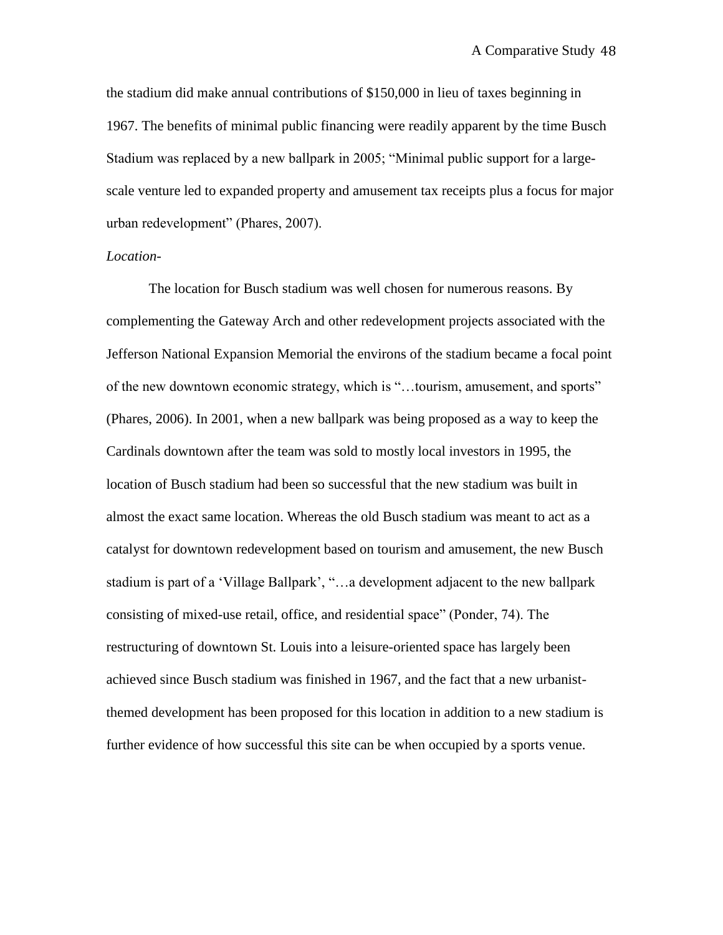the stadium did make annual contributions of \$150,000 in lieu of taxes beginning in 1967. The benefits of minimal public financing were readily apparent by the time Busch Stadium was replaced by a new ballpark in 2005; "Minimal public support for a largescale venture led to expanded property and amusement tax receipts plus a focus for major urban redevelopment" (Phares, 2007).

## *Location*-

The location for Busch stadium was well chosen for numerous reasons. By complementing the Gateway Arch and other redevelopment projects associated with the Jefferson National Expansion Memorial the environs of the stadium became a focal point of the new downtown economic strategy, which is "…tourism, amusement, and sports" (Phares, 2006). In 2001, when a new ballpark was being proposed as a way to keep the Cardinals downtown after the team was sold to mostly local investors in 1995, the location of Busch stadium had been so successful that the new stadium was built in almost the exact same location. Whereas the old Busch stadium was meant to act as a catalyst for downtown redevelopment based on tourism and amusement, the new Busch stadium is part of a "Village Ballpark", "…a development adjacent to the new ballpark consisting of mixed-use retail, office, and residential space" (Ponder, 74). The restructuring of downtown St. Louis into a leisure-oriented space has largely been achieved since Busch stadium was finished in 1967, and the fact that a new urbanistthemed development has been proposed for this location in addition to a new stadium is further evidence of how successful this site can be when occupied by a sports venue.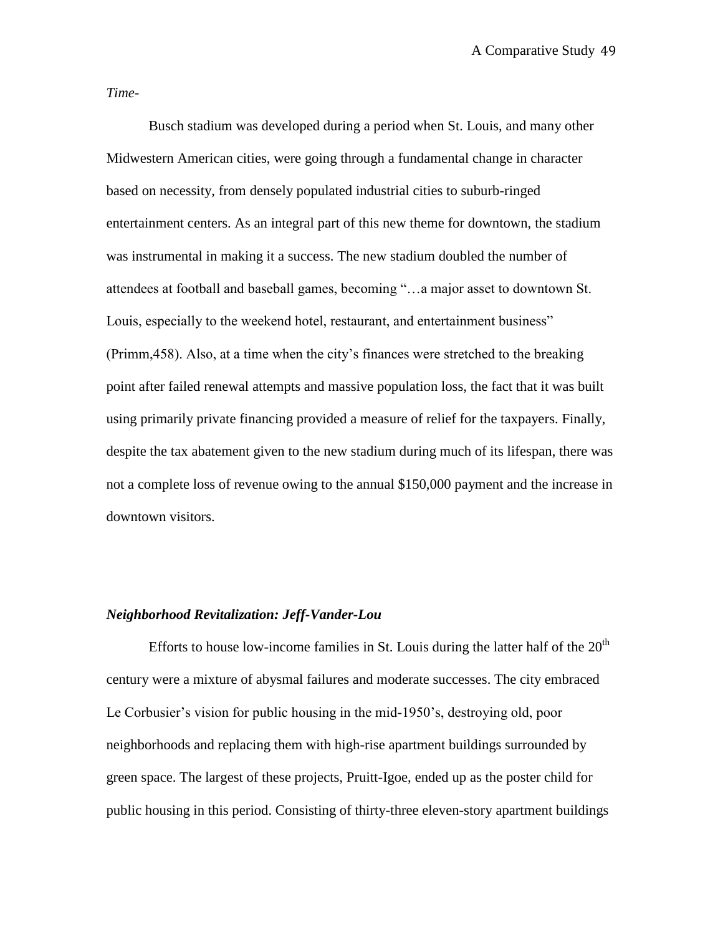*Time-*

Busch stadium was developed during a period when St. Louis, and many other Midwestern American cities, were going through a fundamental change in character based on necessity, from densely populated industrial cities to suburb-ringed entertainment centers. As an integral part of this new theme for downtown, the stadium was instrumental in making it a success. The new stadium doubled the number of attendees at football and baseball games, becoming "…a major asset to downtown St. Louis, especially to the weekend hotel, restaurant, and entertainment business" (Primm,458). Also, at a time when the city"s finances were stretched to the breaking point after failed renewal attempts and massive population loss, the fact that it was built using primarily private financing provided a measure of relief for the taxpayers. Finally, despite the tax abatement given to the new stadium during much of its lifespan, there was not a complete loss of revenue owing to the annual \$150,000 payment and the increase in downtown visitors.

### *Neighborhood Revitalization: Jeff-Vander-Lou*

Efforts to house low-income families in St. Louis during the latter half of the  $20<sup>th</sup>$ century were a mixture of abysmal failures and moderate successes. The city embraced Le Corbusier's vision for public housing in the mid-1950's, destroying old, poor neighborhoods and replacing them with high-rise apartment buildings surrounded by green space. The largest of these projects, Pruitt-Igoe, ended up as the poster child for public housing in this period. Consisting of thirty-three eleven-story apartment buildings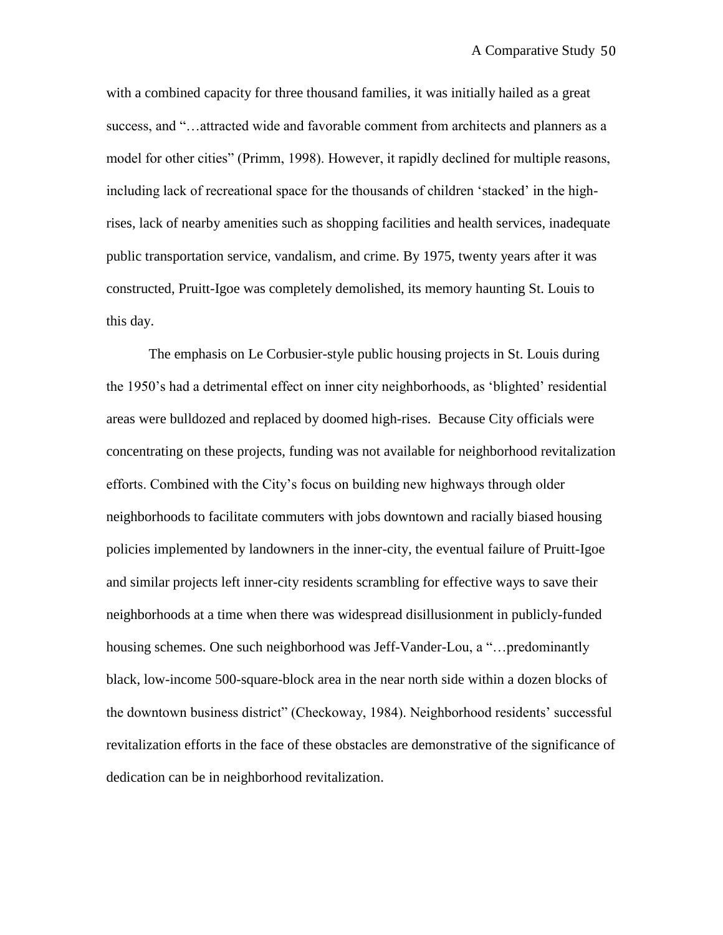with a combined capacity for three thousand families, it was initially hailed as a great success, and "…attracted wide and favorable comment from architects and planners as a model for other cities" (Primm, 1998). However, it rapidly declined for multiple reasons, including lack of recreational space for the thousands of children 'stacked' in the highrises, lack of nearby amenities such as shopping facilities and health services, inadequate public transportation service, vandalism, and crime. By 1975, twenty years after it was constructed, Pruitt-Igoe was completely demolished, its memory haunting St. Louis to this day.

The emphasis on Le Corbusier-style public housing projects in St. Louis during the 1950"s had a detrimental effect on inner city neighborhoods, as "blighted" residential areas were bulldozed and replaced by doomed high-rises. Because City officials were concentrating on these projects, funding was not available for neighborhood revitalization efforts. Combined with the City"s focus on building new highways through older neighborhoods to facilitate commuters with jobs downtown and racially biased housing policies implemented by landowners in the inner-city, the eventual failure of Pruitt-Igoe and similar projects left inner-city residents scrambling for effective ways to save their neighborhoods at a time when there was widespread disillusionment in publicly-funded housing schemes. One such neighborhood was Jeff-Vander-Lou, a "...predominantly black, low-income 500-square-block area in the near north side within a dozen blocks of the downtown business district" (Checkoway, 1984). Neighborhood residents" successful revitalization efforts in the face of these obstacles are demonstrative of the significance of dedication can be in neighborhood revitalization.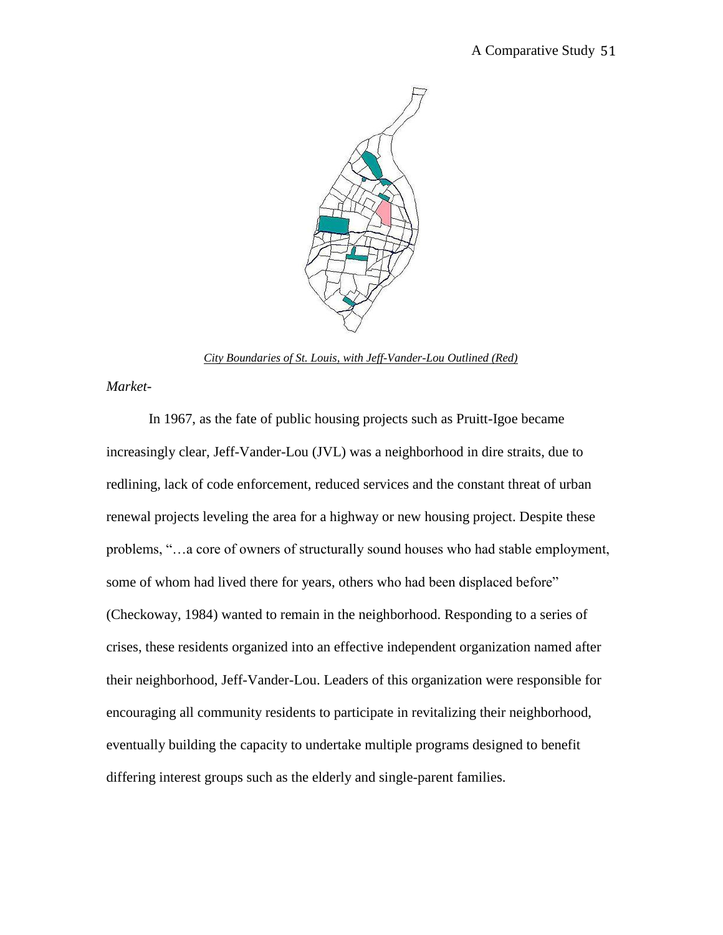

*City Boundaries of St. Louis, with Jeff-Vander-Lou Outlined (Red)*

*Market-*

In 1967, as the fate of public housing projects such as Pruitt-Igoe became increasingly clear, Jeff-Vander-Lou (JVL) was a neighborhood in dire straits, due to redlining, lack of code enforcement, reduced services and the constant threat of urban renewal projects leveling the area for a highway or new housing project. Despite these problems, "…a core of owners of structurally sound houses who had stable employment, some of whom had lived there for years, others who had been displaced before" (Checkoway, 1984) wanted to remain in the neighborhood. Responding to a series of crises, these residents organized into an effective independent organization named after their neighborhood, Jeff-Vander-Lou. Leaders of this organization were responsible for encouraging all community residents to participate in revitalizing their neighborhood, eventually building the capacity to undertake multiple programs designed to benefit differing interest groups such as the elderly and single-parent families.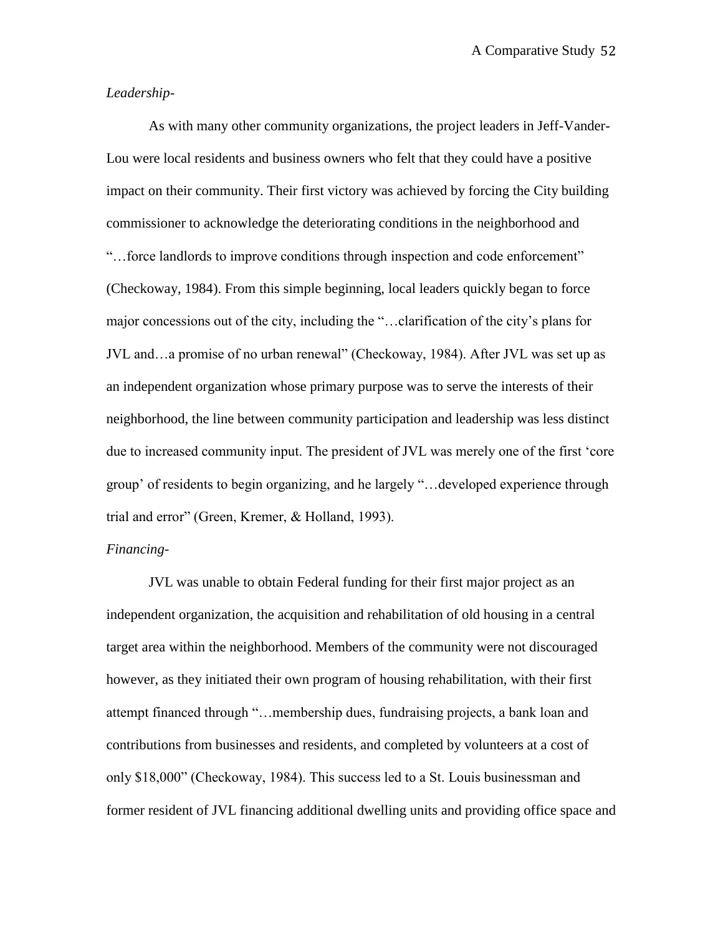## *Leadership*-

As with many other community organizations, the project leaders in Jeff-Vander-Lou were local residents and business owners who felt that they could have a positive impact on their community. Their first victory was achieved by forcing the City building commissioner to acknowledge the deteriorating conditions in the neighborhood and "…force landlords to improve conditions through inspection and code enforcement" (Checkoway, 1984). From this simple beginning, local leaders quickly began to force major concessions out of the city, including the "…clarification of the city"s plans for JVL and…a promise of no urban renewal" (Checkoway, 1984). After JVL was set up as an independent organization whose primary purpose was to serve the interests of their neighborhood, the line between community participation and leadership was less distinct due to increased community input. The president of JVL was merely one of the first "core group" of residents to begin organizing, and he largely "…developed experience through trial and error" (Green, Kremer, & Holland, 1993).

## *Financing-*

JVL was unable to obtain Federal funding for their first major project as an independent organization, the acquisition and rehabilitation of old housing in a central target area within the neighborhood. Members of the community were not discouraged however, as they initiated their own program of housing rehabilitation, with their first attempt financed through "…membership dues, fundraising projects, a bank loan and contributions from businesses and residents, and completed by volunteers at a cost of only \$18,000" (Checkoway, 1984). This success led to a St. Louis businessman and former resident of JVL financing additional dwelling units and providing office space and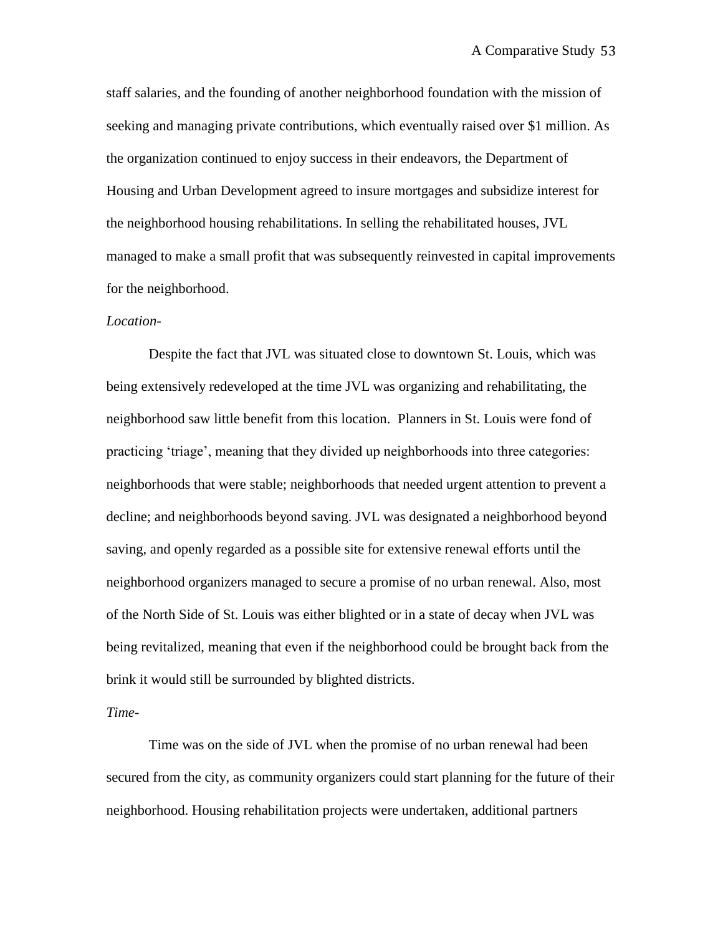staff salaries, and the founding of another neighborhood foundation with the mission of seeking and managing private contributions, which eventually raised over \$1 million. As the organization continued to enjoy success in their endeavors, the Department of Housing and Urban Development agreed to insure mortgages and subsidize interest for the neighborhood housing rehabilitations. In selling the rehabilitated houses, JVL managed to make a small profit that was subsequently reinvested in capital improvements for the neighborhood.

#### *Location*-

Despite the fact that JVL was situated close to downtown St. Louis, which was being extensively redeveloped at the time JVL was organizing and rehabilitating, the neighborhood saw little benefit from this location. Planners in St. Louis were fond of practicing "triage", meaning that they divided up neighborhoods into three categories: neighborhoods that were stable; neighborhoods that needed urgent attention to prevent a decline; and neighborhoods beyond saving. JVL was designated a neighborhood beyond saving, and openly regarded as a possible site for extensive renewal efforts until the neighborhood organizers managed to secure a promise of no urban renewal. Also, most of the North Side of St. Louis was either blighted or in a state of decay when JVL was being revitalized, meaning that even if the neighborhood could be brought back from the brink it would still be surrounded by blighted districts.

#### *Time-*

Time was on the side of JVL when the promise of no urban renewal had been secured from the city, as community organizers could start planning for the future of their neighborhood. Housing rehabilitation projects were undertaken, additional partners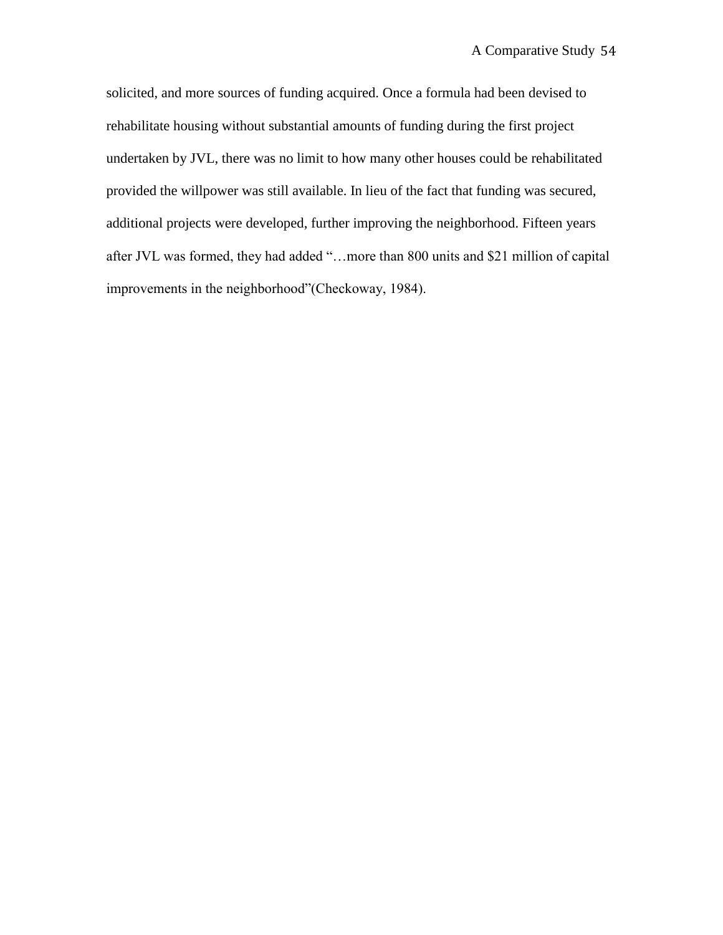solicited, and more sources of funding acquired. Once a formula had been devised to rehabilitate housing without substantial amounts of funding during the first project undertaken by JVL, there was no limit to how many other houses could be rehabilitated provided the willpower was still available. In lieu of the fact that funding was secured, additional projects were developed, further improving the neighborhood. Fifteen years after JVL was formed, they had added "…more than 800 units and \$21 million of capital improvements in the neighborhood"(Checkoway, 1984).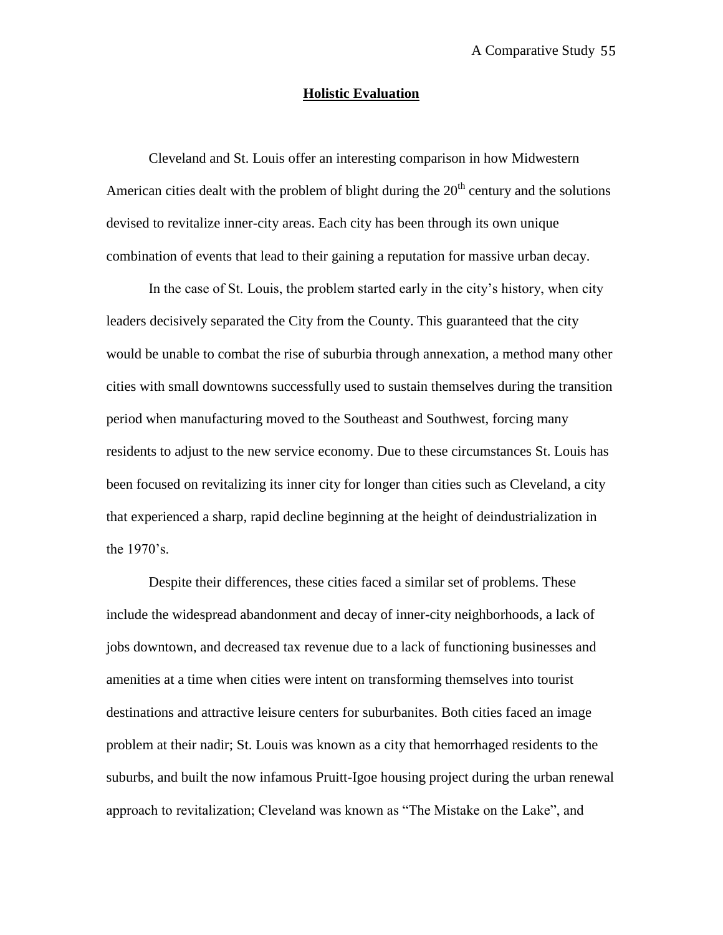## **Holistic Evaluation**

Cleveland and St. Louis offer an interesting comparison in how Midwestern American cities dealt with the problem of blight during the  $20<sup>th</sup>$  century and the solutions devised to revitalize inner-city areas. Each city has been through its own unique combination of events that lead to their gaining a reputation for massive urban decay.

In the case of St. Louis, the problem started early in the city"s history, when city leaders decisively separated the City from the County. This guaranteed that the city would be unable to combat the rise of suburbia through annexation, a method many other cities with small downtowns successfully used to sustain themselves during the transition period when manufacturing moved to the Southeast and Southwest, forcing many residents to adjust to the new service economy. Due to these circumstances St. Louis has been focused on revitalizing its inner city for longer than cities such as Cleveland, a city that experienced a sharp, rapid decline beginning at the height of deindustrialization in the 1970"s.

Despite their differences, these cities faced a similar set of problems. These include the widespread abandonment and decay of inner-city neighborhoods, a lack of jobs downtown, and decreased tax revenue due to a lack of functioning businesses and amenities at a time when cities were intent on transforming themselves into tourist destinations and attractive leisure centers for suburbanites. Both cities faced an image problem at their nadir; St. Louis was known as a city that hemorrhaged residents to the suburbs, and built the now infamous Pruitt-Igoe housing project during the urban renewal approach to revitalization; Cleveland was known as "The Mistake on the Lake", and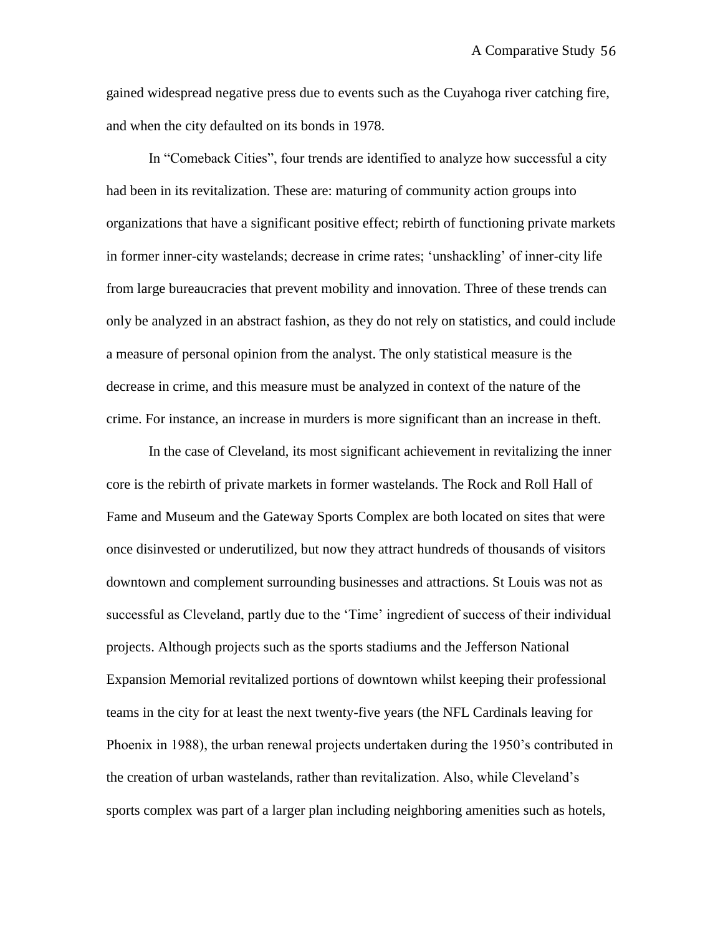gained widespread negative press due to events such as the Cuyahoga river catching fire, and when the city defaulted on its bonds in 1978.

In "Comeback Cities", four trends are identified to analyze how successful a city had been in its revitalization. These are: maturing of community action groups into organizations that have a significant positive effect; rebirth of functioning private markets in former inner-city wastelands; decrease in crime rates; "unshackling" of inner-city life from large bureaucracies that prevent mobility and innovation. Three of these trends can only be analyzed in an abstract fashion, as they do not rely on statistics, and could include a measure of personal opinion from the analyst. The only statistical measure is the decrease in crime, and this measure must be analyzed in context of the nature of the crime. For instance, an increase in murders is more significant than an increase in theft.

In the case of Cleveland, its most significant achievement in revitalizing the inner core is the rebirth of private markets in former wastelands. The Rock and Roll Hall of Fame and Museum and the Gateway Sports Complex are both located on sites that were once disinvested or underutilized, but now they attract hundreds of thousands of visitors downtown and complement surrounding businesses and attractions. St Louis was not as successful as Cleveland, partly due to the "Time" ingredient of success of their individual projects. Although projects such as the sports stadiums and the Jefferson National Expansion Memorial revitalized portions of downtown whilst keeping their professional teams in the city for at least the next twenty-five years (the NFL Cardinals leaving for Phoenix in 1988), the urban renewal projects undertaken during the 1950"s contributed in the creation of urban wastelands, rather than revitalization. Also, while Cleveland"s sports complex was part of a larger plan including neighboring amenities such as hotels,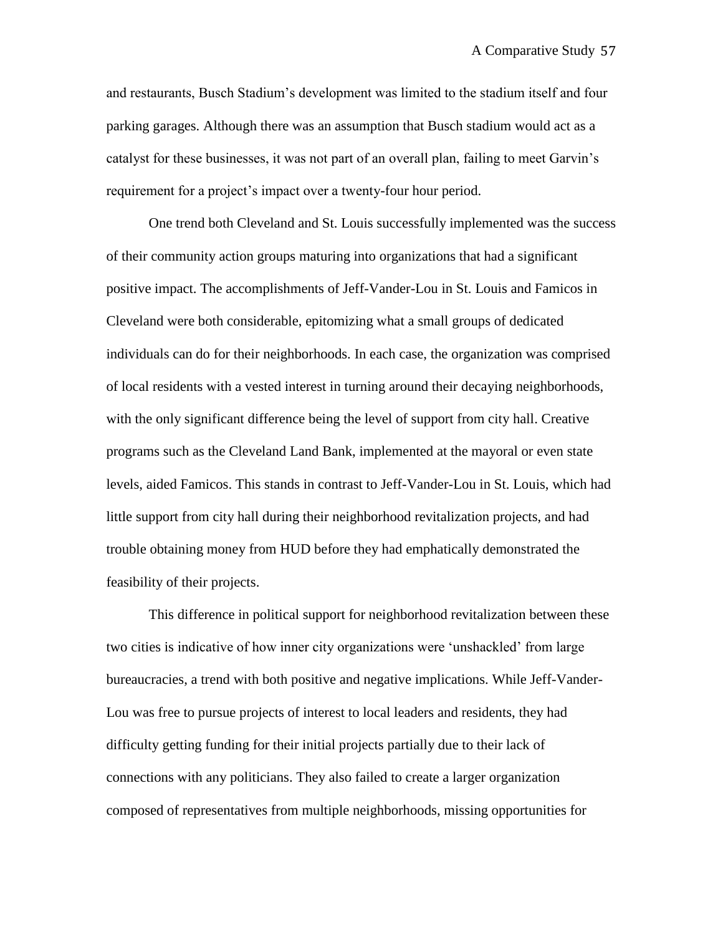and restaurants, Busch Stadium"s development was limited to the stadium itself and four parking garages. Although there was an assumption that Busch stadium would act as a catalyst for these businesses, it was not part of an overall plan, failing to meet Garvin"s requirement for a project's impact over a twenty-four hour period.

One trend both Cleveland and St. Louis successfully implemented was the success of their community action groups maturing into organizations that had a significant positive impact. The accomplishments of Jeff-Vander-Lou in St. Louis and Famicos in Cleveland were both considerable, epitomizing what a small groups of dedicated individuals can do for their neighborhoods. In each case, the organization was comprised of local residents with a vested interest in turning around their decaying neighborhoods, with the only significant difference being the level of support from city hall. Creative programs such as the Cleveland Land Bank, implemented at the mayoral or even state levels, aided Famicos. This stands in contrast to Jeff-Vander-Lou in St. Louis, which had little support from city hall during their neighborhood revitalization projects, and had trouble obtaining money from HUD before they had emphatically demonstrated the feasibility of their projects.

This difference in political support for neighborhood revitalization between these two cities is indicative of how inner city organizations were "unshackled" from large bureaucracies, a trend with both positive and negative implications. While Jeff-Vander-Lou was free to pursue projects of interest to local leaders and residents, they had difficulty getting funding for their initial projects partially due to their lack of connections with any politicians. They also failed to create a larger organization composed of representatives from multiple neighborhoods, missing opportunities for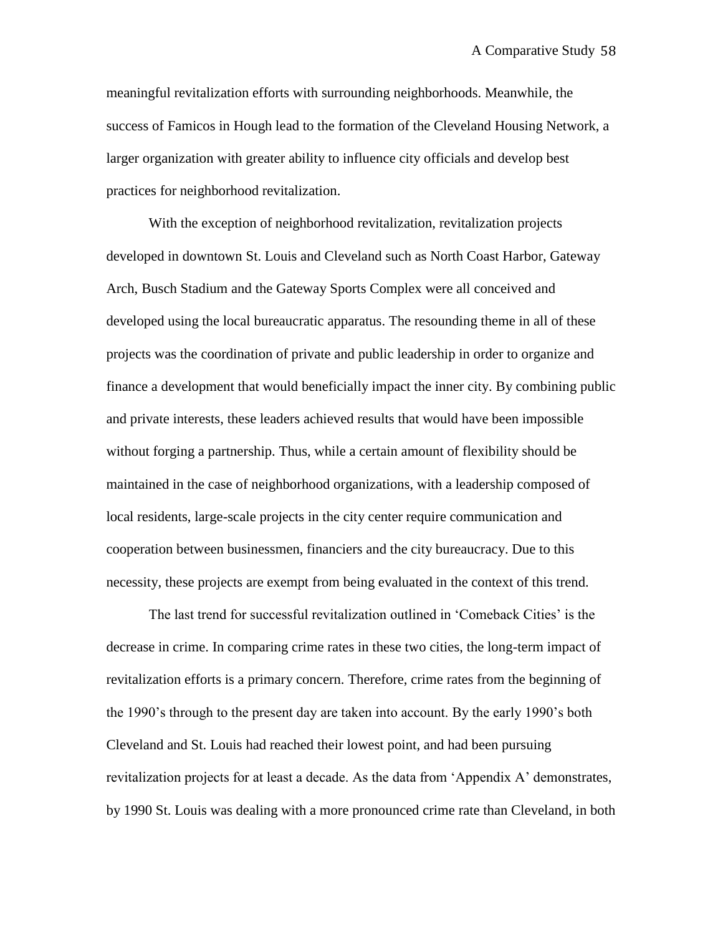meaningful revitalization efforts with surrounding neighborhoods. Meanwhile, the success of Famicos in Hough lead to the formation of the Cleveland Housing Network, a larger organization with greater ability to influence city officials and develop best practices for neighborhood revitalization.

With the exception of neighborhood revitalization, revitalization projects developed in downtown St. Louis and Cleveland such as North Coast Harbor, Gateway Arch, Busch Stadium and the Gateway Sports Complex were all conceived and developed using the local bureaucratic apparatus. The resounding theme in all of these projects was the coordination of private and public leadership in order to organize and finance a development that would beneficially impact the inner city. By combining public and private interests, these leaders achieved results that would have been impossible without forging a partnership. Thus, while a certain amount of flexibility should be maintained in the case of neighborhood organizations, with a leadership composed of local residents, large-scale projects in the city center require communication and cooperation between businessmen, financiers and the city bureaucracy. Due to this necessity, these projects are exempt from being evaluated in the context of this trend.

The last trend for successful revitalization outlined in "Comeback Cities" is the decrease in crime. In comparing crime rates in these two cities, the long-term impact of revitalization efforts is a primary concern. Therefore, crime rates from the beginning of the 1990"s through to the present day are taken into account. By the early 1990"s both Cleveland and St. Louis had reached their lowest point, and had been pursuing revitalization projects for at least a decade. As the data from "Appendix A" demonstrates, by 1990 St. Louis was dealing with a more pronounced crime rate than Cleveland, in both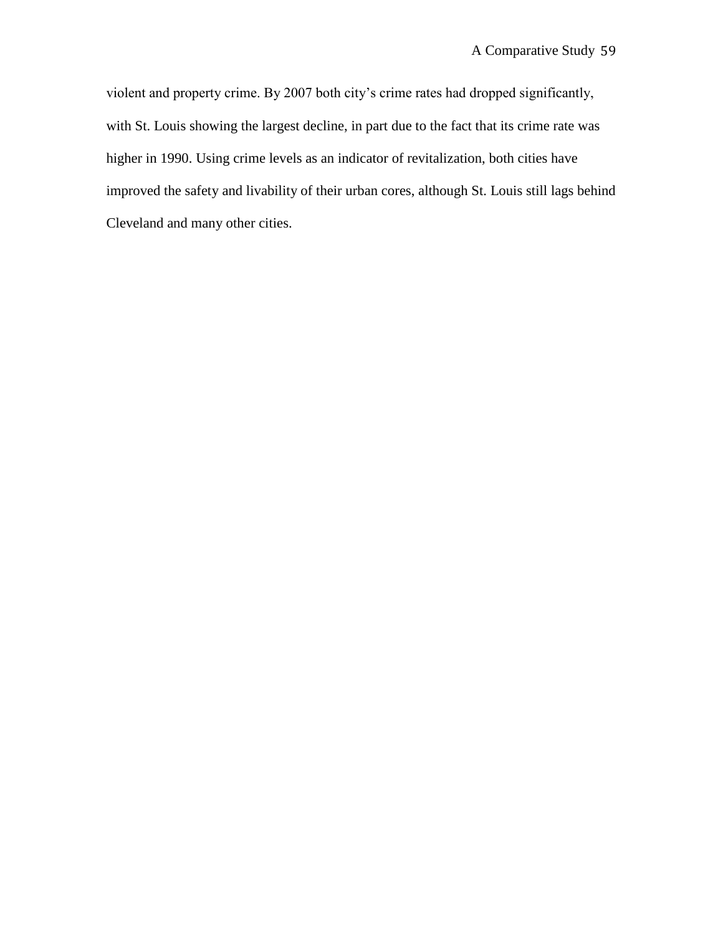violent and property crime. By 2007 both city"s crime rates had dropped significantly, with St. Louis showing the largest decline, in part due to the fact that its crime rate was higher in 1990. Using crime levels as an indicator of revitalization, both cities have improved the safety and livability of their urban cores, although St. Louis still lags behind Cleveland and many other cities.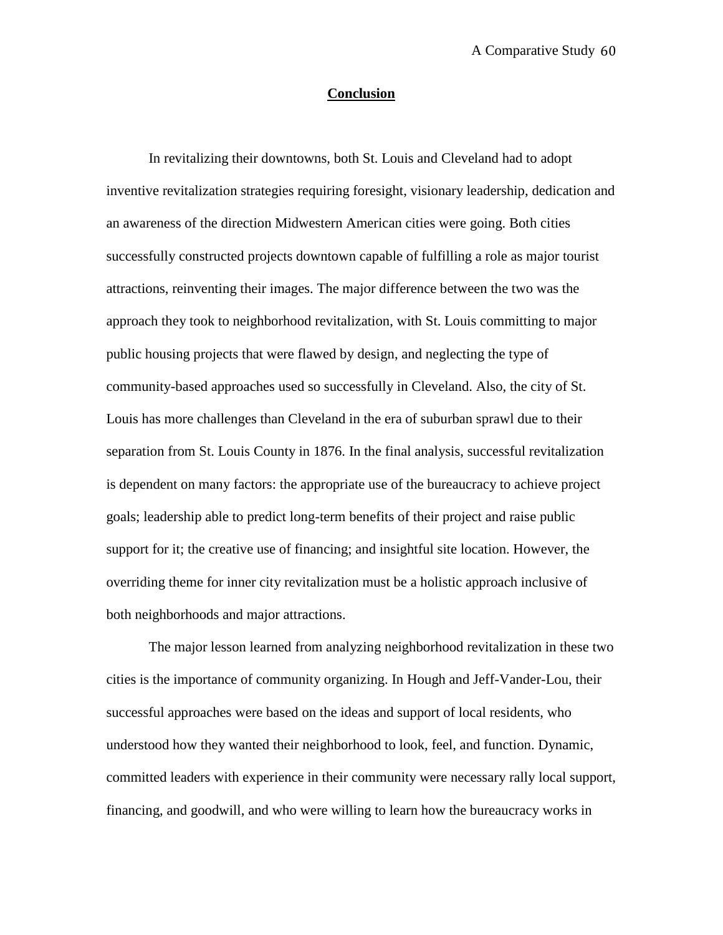## **Conclusion**

In revitalizing their downtowns, both St. Louis and Cleveland had to adopt inventive revitalization strategies requiring foresight, visionary leadership, dedication and an awareness of the direction Midwestern American cities were going. Both cities successfully constructed projects downtown capable of fulfilling a role as major tourist attractions, reinventing their images. The major difference between the two was the approach they took to neighborhood revitalization, with St. Louis committing to major public housing projects that were flawed by design, and neglecting the type of community-based approaches used so successfully in Cleveland. Also, the city of St. Louis has more challenges than Cleveland in the era of suburban sprawl due to their separation from St. Louis County in 1876. In the final analysis, successful revitalization is dependent on many factors: the appropriate use of the bureaucracy to achieve project goals; leadership able to predict long-term benefits of their project and raise public support for it; the creative use of financing; and insightful site location. However, the overriding theme for inner city revitalization must be a holistic approach inclusive of both neighborhoods and major attractions.

The major lesson learned from analyzing neighborhood revitalization in these two cities is the importance of community organizing. In Hough and Jeff-Vander-Lou, their successful approaches were based on the ideas and support of local residents, who understood how they wanted their neighborhood to look, feel, and function. Dynamic, committed leaders with experience in their community were necessary rally local support, financing, and goodwill, and who were willing to learn how the bureaucracy works in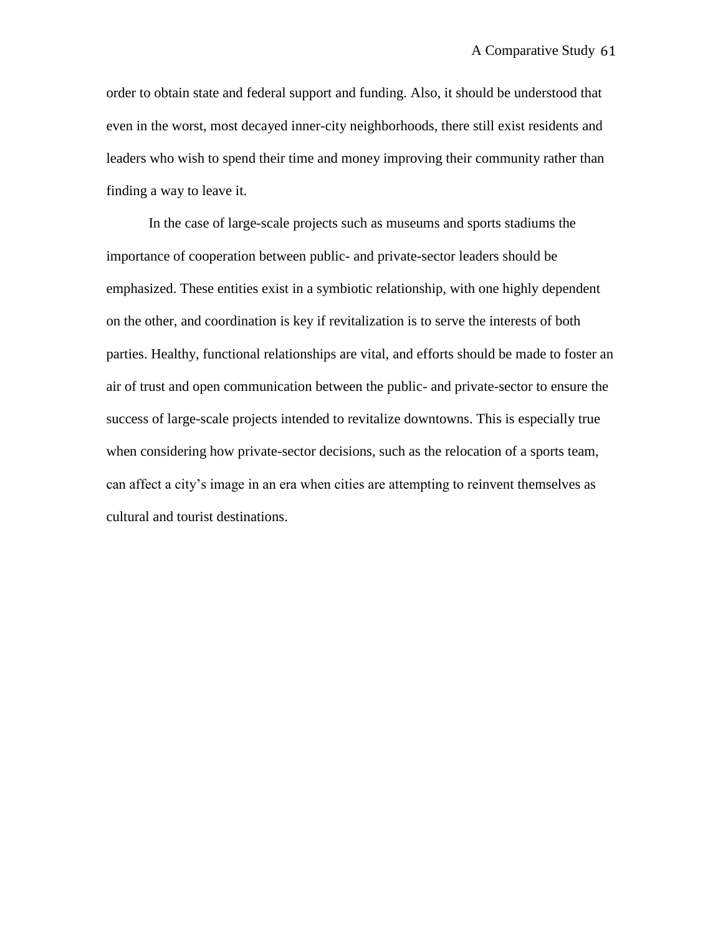order to obtain state and federal support and funding. Also, it should be understood that even in the worst, most decayed inner-city neighborhoods, there still exist residents and leaders who wish to spend their time and money improving their community rather than finding a way to leave it.

In the case of large-scale projects such as museums and sports stadiums the importance of cooperation between public- and private-sector leaders should be emphasized. These entities exist in a symbiotic relationship, with one highly dependent on the other, and coordination is key if revitalization is to serve the interests of both parties. Healthy, functional relationships are vital, and efforts should be made to foster an air of trust and open communication between the public- and private-sector to ensure the success of large-scale projects intended to revitalize downtowns. This is especially true when considering how private-sector decisions, such as the relocation of a sports team, can affect a city's image in an era when cities are attempting to reinvent themselves as cultural and tourist destinations.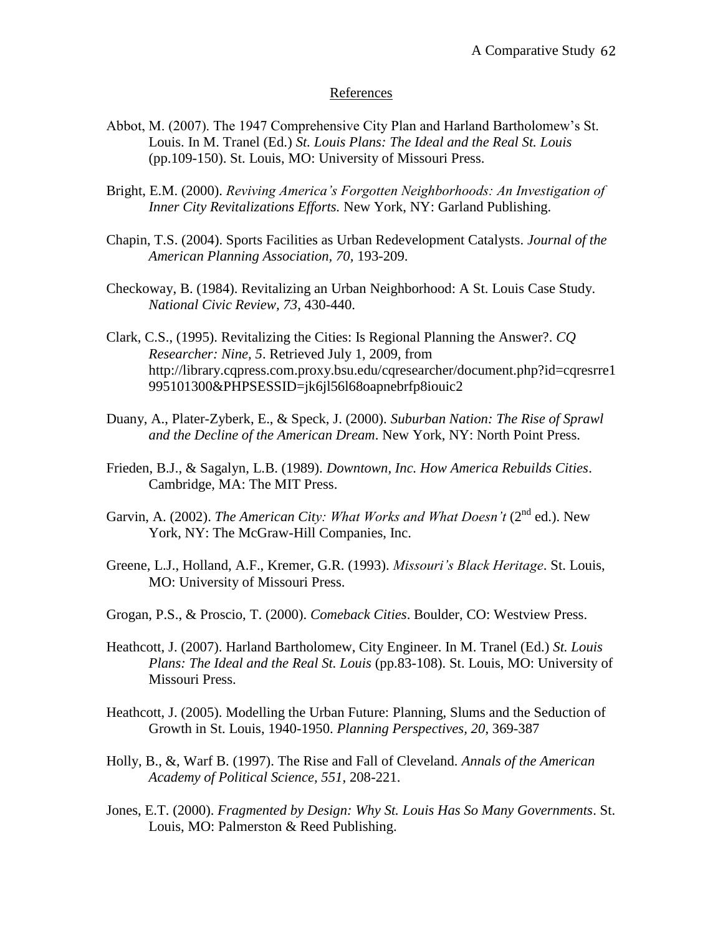## References

- Abbot, M. (2007). The 1947 Comprehensive City Plan and Harland Bartholomew"s St. Louis. In M. Tranel (Ed.) *St. Louis Plans: The Ideal and the Real St. Louis* (pp.109-150). St. Louis, MO: University of Missouri Press.
- Bright, E.M. (2000). *Reviving America's Forgotten Neighborhoods: An Investigation of Inner City Revitalizations Efforts.* New York, NY: Garland Publishing.
- Chapin, T.S. (2004). Sports Facilities as Urban Redevelopment Catalysts. *Journal of the American Planning Association, 70,* 193-209.
- Checkoway, B. (1984). Revitalizing an Urban Neighborhood: A St. Louis Case Study. *National Civic Review, 73*, 430-440.
- Clark, C.S., (1995). Revitalizing the Cities: Is Regional Planning the Answer?. *CQ Researcher: Nine, 5*. Retrieved July 1, 2009, from http://library.cqpress.com.proxy.bsu.edu/cqresearcher/document.php?id=cqresrre1 995101300&PHPSESSID=jk6jl56l68oapnebrfp8iouic2
- Duany, A., Plater-Zyberk, E., & Speck, J. (2000). *Suburban Nation: The Rise of Sprawl and the Decline of the American Dream*. New York, NY: North Point Press.
- Frieden, B.J., & Sagalyn, L.B. (1989). *Downtown, Inc. How America Rebuilds Cities*. Cambridge, MA: The MIT Press.
- Garvin, A. (2002). *The American City: What Works and What Doesn't* (2<sup>nd</sup> ed.). New York, NY: The McGraw-Hill Companies, Inc.
- Greene, L.J., Holland, A.F., Kremer, G.R. (1993). *Missouri's Black Heritage*. St. Louis, MO: University of Missouri Press.
- Grogan, P.S., & Proscio, T. (2000). *Comeback Cities*. Boulder, CO: Westview Press.
- Heathcott, J. (2007). Harland Bartholomew, City Engineer. In M. Tranel (Ed.) *St. Louis Plans: The Ideal and the Real St. Louis* (pp.83-108). St. Louis, MO: University of Missouri Press.
- Heathcott, J. (2005). Modelling the Urban Future: Planning, Slums and the Seduction of Growth in St. Louis, 1940-1950. *Planning Perspectives, 20*, 369-387
- Holly, B., &, Warf B. (1997). The Rise and Fall of Cleveland. *Annals of the American Academy of Political Science, 551*, 208-221.
- Jones, E.T. (2000). *Fragmented by Design: Why St. Louis Has So Many Governments*. St. Louis, MO: Palmerston & Reed Publishing.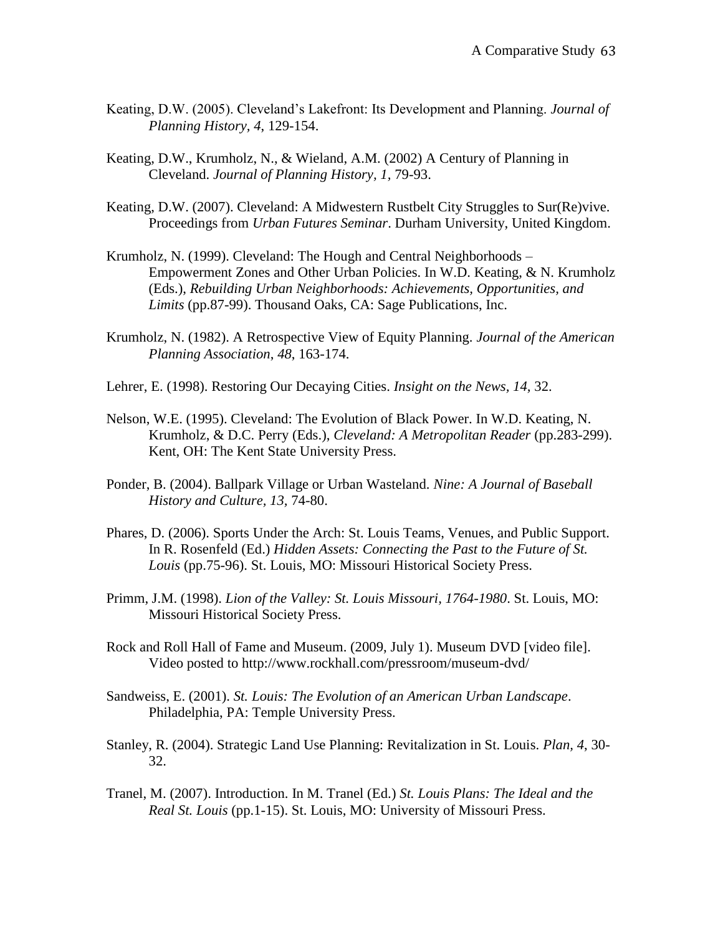- Keating, D.W. (2005). Cleveland"s Lakefront: Its Development and Planning. *Journal of Planning History, 4*, 129-154.
- Keating, D.W., Krumholz, N., & Wieland, A.M. (2002) A Century of Planning in Cleveland. *Journal of Planning History, 1,* 79-93.
- Keating, D.W. (2007). Cleveland: A Midwestern Rustbelt City Struggles to Sur(Re)vive. Proceedings from *Urban Futures Seminar*. Durham University, United Kingdom.
- Krumholz, N. (1999). Cleveland: The Hough and Central Neighborhoods Empowerment Zones and Other Urban Policies. In W.D. Keating, & N. Krumholz (Eds.), *Rebuilding Urban Neighborhoods: Achievements, Opportunities, and Limits* (pp.87-99). Thousand Oaks, CA: Sage Publications, Inc.
- Krumholz, N. (1982). A Retrospective View of Equity Planning. *Journal of the American Planning Association*, *48*, 163-174.
- Lehrer, E. (1998). Restoring Our Decaying Cities. *Insight on the News, 14,* 32.
- Nelson, W.E. (1995). Cleveland: The Evolution of Black Power. In W.D. Keating, N. Krumholz, & D.C. Perry (Eds.), *Cleveland: A Metropolitan Reader* (pp.283-299). Kent, OH: The Kent State University Press.
- Ponder, B. (2004). Ballpark Village or Urban Wasteland. *Nine: A Journal of Baseball History and Culture, 13,* 74-80.
- Phares, D. (2006). Sports Under the Arch: St. Louis Teams, Venues, and Public Support. In R. Rosenfeld (Ed.) *Hidden Assets: Connecting the Past to the Future of St. Louis* (pp.75-96). St. Louis, MO: Missouri Historical Society Press.
- Primm, J.M. (1998). *Lion of the Valley: St. Louis Missouri, 1764-1980*. St. Louis, MO: Missouri Historical Society Press.
- Rock and Roll Hall of Fame and Museum. (2009, July 1). Museum DVD [video file]. Video posted to http://www.rockhall.com/pressroom/museum-dvd/
- Sandweiss, E. (2001). *St. Louis: The Evolution of an American Urban Landscape*. Philadelphia, PA: Temple University Press.
- Stanley, R. (2004). Strategic Land Use Planning: Revitalization in St. Louis. *Plan, 4*, 30- 32.
- Tranel, M. (2007). Introduction. In M. Tranel (Ed.) *St. Louis Plans: The Ideal and the Real St. Louis* (pp.1-15). St. Louis, MO: University of Missouri Press.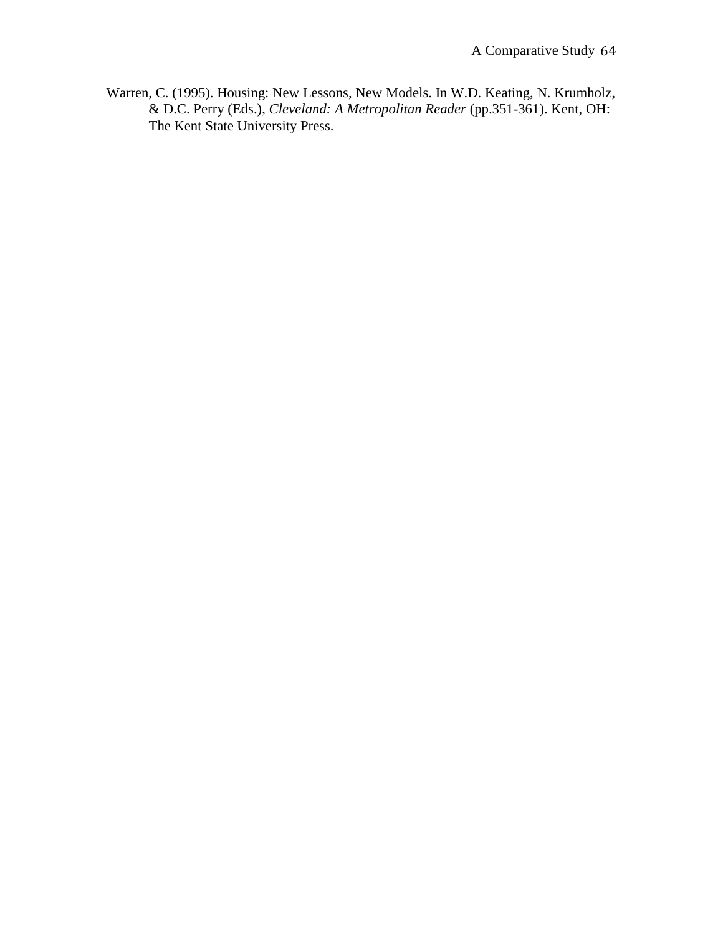Warren, C. (1995). Housing: New Lessons, New Models. In W.D. Keating, N. Krumholz, & D.C. Perry (Eds.), *Cleveland: A Metropolitan Reader* (pp.351-361). Kent, OH: The Kent State University Press.